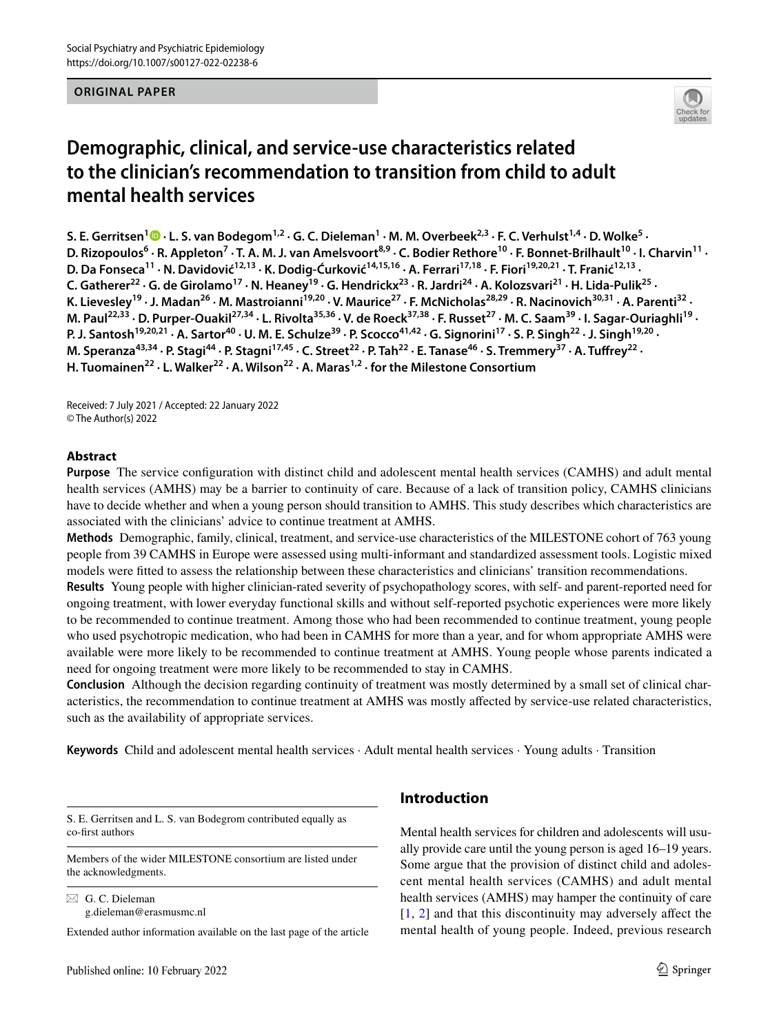## **ORIGINAL PAPER**



# **Demographic, clinical, and service‑use characteristics related to the clinician's recommendation to transition from child to adult mental health services**

S. E. Gerritsen<sup>1</sup> D  $\cdot$  L. S. van Bodegom<sup>1,2</sup>  $\cdot$  G. C. Dieleman<sup>1</sup>  $\cdot$  M. M. Overbeek<sup>2,3</sup>  $\cdot$  F. C. Verhulst<sup>1,4</sup>  $\cdot$  D. Wolke<sup>5</sup>  $\cdot$ D. Rizopoulos<sup>6</sup> · R. Appleton<sup>7</sup> · T. A. M. J. van Amelsvoort<sup>8,9</sup> · C. Bodier Rethore<sup>10</sup> · F. Bonnet-Brilhault<sup>10</sup> · I. Charvin<sup>11</sup> · **D. Da Fonseca11 · N. Davidović12,13 · K. Dodig‑Ćurković14,15,16 · A. Ferrari17,18 · F. Fiori19,20,21 · T. Franić12,13 ·**  C. Gatherer<sup>22</sup> · G. de Girolamo<sup>17</sup> · N. Heaney<sup>19</sup> · G. Hendrickx<sup>23</sup> · R. Jardri<sup>24</sup> · A. Kolozsvari<sup>21</sup> · H. Lida-Pulik<sup>25</sup> · K. Lievesley<sup>19</sup> · J. Madan<sup>26</sup> · M. Mastroianni<sup>19,20</sup> · V. Maurice<sup>27</sup> · F. McNicholas<sup>28,29</sup> · R. Nacinovich<sup>30,31</sup> · A. Parenti<sup>32</sup> · M. Paul<sup>22,33</sup> · D. Purper-Ouakil<sup>27,34</sup> · L. Rivolta<sup>35,36</sup> · V. de Roeck<sup>37,38</sup> · F. Russet<sup>27</sup> · M. C. Saam<sup>39</sup> · I. Sagar-Ouriaghli<sup>19</sup> · P. J. Santosh<sup>19,20,21</sup> · A. Sartor<sup>40</sup> · U. M. E. Schulze<sup>39</sup> · P. Scocco<sup>41,42</sup> · G. Signorini<sup>17</sup> · S. P. Singh<sup>22</sup> · J. Singh<sup>19,20</sup> · M. Speranza<sup>43,34</sup> · P. Stagi<sup>44</sup> · P. Stagni<sup>17,45</sup> · C. Street<sup>22</sup> · P. Tah<sup>22</sup> · E. Tanase<sup>46</sup> · S. Tremmery<sup>37</sup> · A. Tuffrey<sup>22</sup> · **H. Tuomainen22 · L. Walker22 · A. Wilson22 · A. Maras1,2 · for the Milestone Consortium**

Received: 7 July 2021 / Accepted: 22 January 2022 © The Author(s) 2022

# **Abstract**

**Purpose** The service confguration with distinct child and adolescent mental health services (CAMHS) and adult mental health services (AMHS) may be a barrier to continuity of care. Because of a lack of transition policy, CAMHS clinicians have to decide whether and when a young person should transition to AMHS. This study describes which characteristics are associated with the clinicians' advice to continue treatment at AMHS.

**Methods** Demographic, family, clinical, treatment, and service-use characteristics of the MILESTONE cohort of 763 young people from 39 CAMHS in Europe were assessed using multi-informant and standardized assessment tools. Logistic mixed models were ftted to assess the relationship between these characteristics and clinicians' transition recommendations.

**Results** Young people with higher clinician-rated severity of psychopathology scores, with self- and parent-reported need for ongoing treatment, with lower everyday functional skills and without self-reported psychotic experiences were more likely to be recommended to continue treatment. Among those who had been recommended to continue treatment, young people who used psychotropic medication, who had been in CAMHS for more than a year, and for whom appropriate AMHS were available were more likely to be recommended to continue treatment at AMHS. Young people whose parents indicated a need for ongoing treatment were more likely to be recommended to stay in CAMHS.

**Conclusion** Although the decision regarding continuity of treatment was mostly determined by a small set of clinical characteristics, the recommendation to continue treatment at AMHS was mostly afected by service-use related characteristics, such as the availability of appropriate services.

**Keywords** Child and adolescent mental health services · Adult mental health services · Young adults · Transition

S. E. Gerritsen and L. S. van Bodegrom contributed equally as co-frst authors

Members of the wider MILESTONE consortium are listed under the acknowledgments.

 $\boxtimes$  G. C. Dieleman g.dieleman@erasmusmc.nl

Extended author information available on the last page of the article

# **Introduction**

Mental health services for children and adolescents will usually provide care until the young person is aged 16–19 years. Some argue that the provision of distinct child and adolescent mental health services (CAMHS) and adult mental health services (AMHS) may hamper the continuity of care [[1,](#page-14-0) [2](#page-14-1)] and that this discontinuity may adversely afect the mental health of young people. Indeed, previous research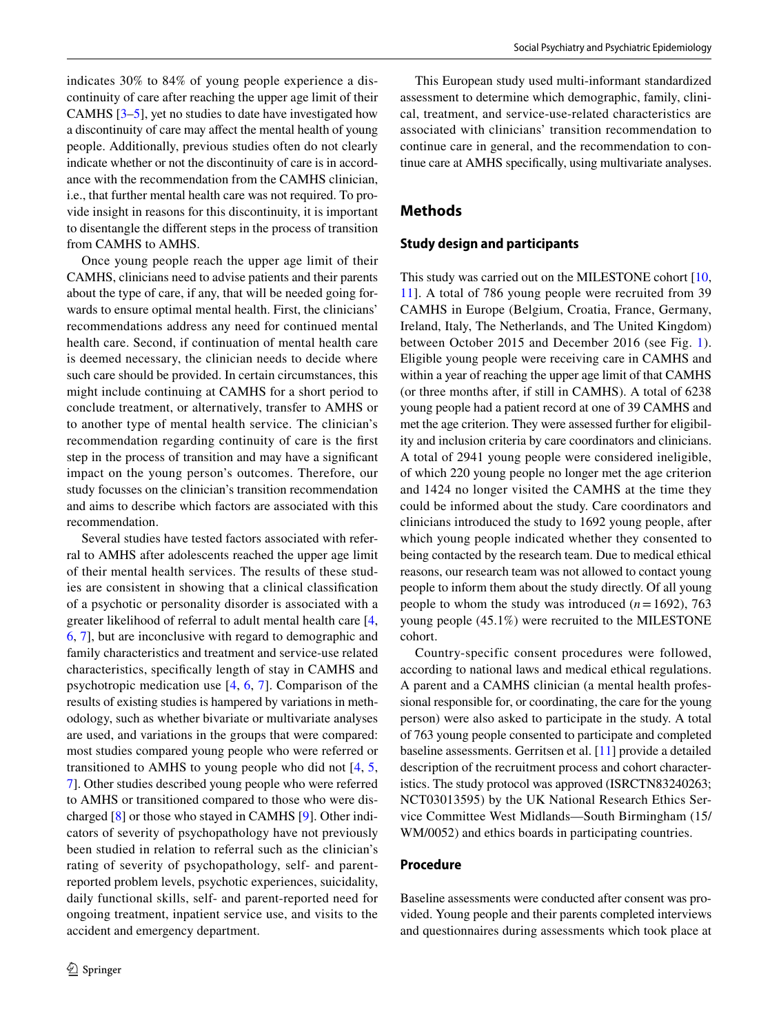indicates 30% to 84% of young people experience a discontinuity of care after reaching the upper age limit of their CAMHS [\[3](#page-14-2)[–5](#page-14-3)], yet no studies to date have investigated how a discontinuity of care may afect the mental health of young people. Additionally, previous studies often do not clearly indicate whether or not the discontinuity of care is in accordance with the recommendation from the CAMHS clinician, i.e., that further mental health care was not required. To provide insight in reasons for this discontinuity, it is important to disentangle the diferent steps in the process of transition from CAMHS to AMHS.

Once young people reach the upper age limit of their CAMHS, clinicians need to advise patients and their parents about the type of care, if any, that will be needed going forwards to ensure optimal mental health. First, the clinicians' recommendations address any need for continued mental health care. Second, if continuation of mental health care is deemed necessary, the clinician needs to decide where such care should be provided. In certain circumstances, this might include continuing at CAMHS for a short period to conclude treatment, or alternatively, transfer to AMHS or to another type of mental health service. The clinician's recommendation regarding continuity of care is the frst step in the process of transition and may have a signifcant impact on the young person's outcomes. Therefore, our study focusses on the clinician's transition recommendation and aims to describe which factors are associated with this recommendation.

Several studies have tested factors associated with referral to AMHS after adolescents reached the upper age limit of their mental health services. The results of these studies are consistent in showing that a clinical classifcation of a psychotic or personality disorder is associated with a greater likelihood of referral to adult mental health care [[4,](#page-14-4) [6](#page-15-0), [7](#page-15-1)], but are inconclusive with regard to demographic and family characteristics and treatment and service-use related characteristics, specifcally length of stay in CAMHS and psychotropic medication use [[4](#page-14-4), [6,](#page-15-0) [7](#page-15-1)]. Comparison of the results of existing studies is hampered by variations in methodology, such as whether bivariate or multivariate analyses are used, and variations in the groups that were compared: most studies compared young people who were referred or transitioned to AMHS to young people who did not [[4](#page-14-4), [5,](#page-14-3) [7](#page-15-1)]. Other studies described young people who were referred to AMHS or transitioned compared to those who were discharged [\[8](#page-15-2)] or those who stayed in CAMHS [[9\]](#page-15-3). Other indicators of severity of psychopathology have not previously been studied in relation to referral such as the clinician's rating of severity of psychopathology, self- and parentreported problem levels, psychotic experiences, suicidality, daily functional skills, self- and parent-reported need for ongoing treatment, inpatient service use, and visits to the accident and emergency department.

This European study used multi-informant standardized assessment to determine which demographic, family, clinical, treatment, and service-use-related characteristics are associated with clinicians' transition recommendation to continue care in general, and the recommendation to continue care at AMHS specifcally, using multivariate analyses.

# **Methods**

### **Study design and participants**

This study was carried out on the MILESTONE cohort [[10,](#page-15-4) [11](#page-15-5)]. A total of 786 young people were recruited from 39 CAMHS in Europe (Belgium, Croatia, France, Germany, Ireland, Italy, The Netherlands, and The United Kingdom) between October 2015 and December 2016 (see Fig. [1](#page-2-0)). Eligible young people were receiving care in CAMHS and within a year of reaching the upper age limit of that CAMHS (or three months after, if still in CAMHS). A total of 6238 young people had a patient record at one of 39 CAMHS and met the age criterion. They were assessed further for eligibility and inclusion criteria by care coordinators and clinicians. A total of 2941 young people were considered ineligible, of which 220 young people no longer met the age criterion and 1424 no longer visited the CAMHS at the time they could be informed about the study. Care coordinators and clinicians introduced the study to 1692 young people, after which young people indicated whether they consented to being contacted by the research team. Due to medical ethical reasons, our research team was not allowed to contact young people to inform them about the study directly. Of all young people to whom the study was introduced  $(n=1692)$ , 763 young people (45.1%) were recruited to the MILESTONE cohort.

Country-specific consent procedures were followed, according to national laws and medical ethical regulations. A parent and a CAMHS clinician (a mental health professional responsible for, or coordinating, the care for the young person) were also asked to participate in the study. A total of 763 young people consented to participate and completed baseline assessments. Gerritsen et al. [\[11\]](#page-15-5) provide a detailed description of the recruitment process and cohort characteristics. The study protocol was approved (ISRCTN83240263; NCT03013595) by the UK National Research Ethics Service Committee West Midlands—South Birmingham (15/ WM/0052) and ethics boards in participating countries.

#### **Procedure**

Baseline assessments were conducted after consent was provided. Young people and their parents completed interviews and questionnaires during assessments which took place at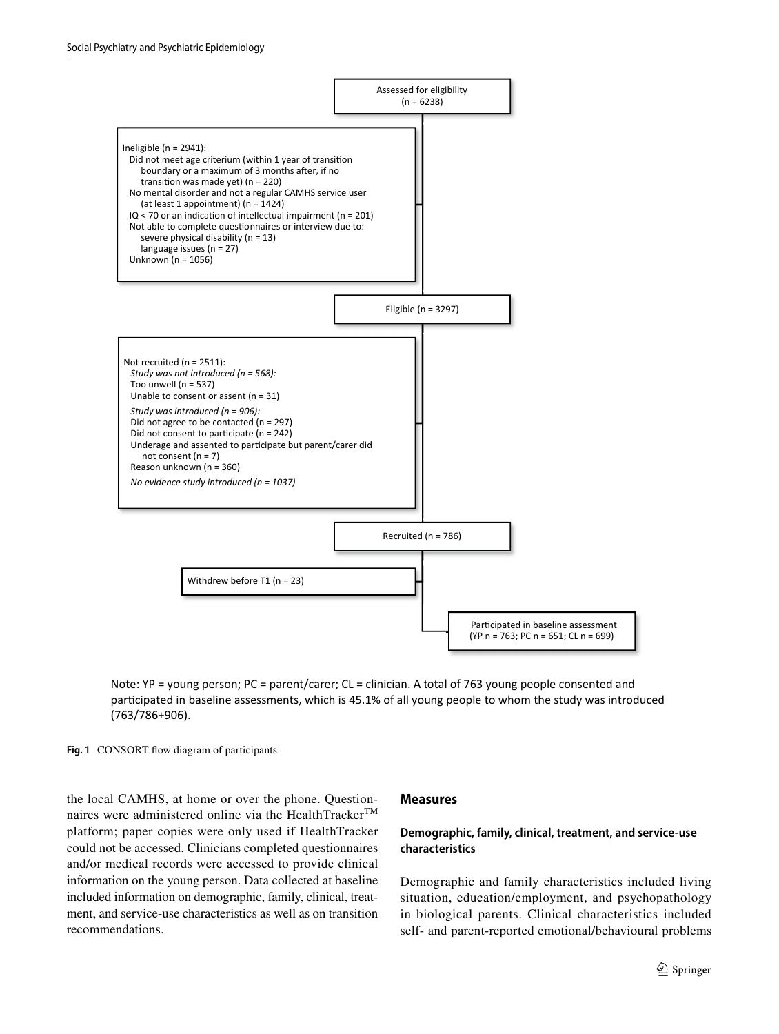

Note: YP = young person; PC = parent/carer; CL = clinician. A total of 763 young people consented and participated in baseline assessments, which is 45.1% of all young people to whom the study was introduced (763/786+906).

<span id="page-2-0"></span>Fig. 1 CONSORT flow diagram of participants

the local CAMHS, at home or over the phone. Questionnaires were administered online via the HealthTracker™ platform; paper copies were only used if HealthTracker could not be accessed. Clinicians completed questionnaires and/or medical records were accessed to provide clinical information on the young person. Data collected at baseline included information on demographic, family, clinical, treatment, and service-use characteristics as well as on transition recommendations.

#### **Measures**

# **Demographic, family, clinical, treatment, and service‑use characteristics**

Demographic and family characteristics included living situation, education/employment, and psychopathology in biological parents. Clinical characteristics included self- and parent-reported emotional/behavioural problems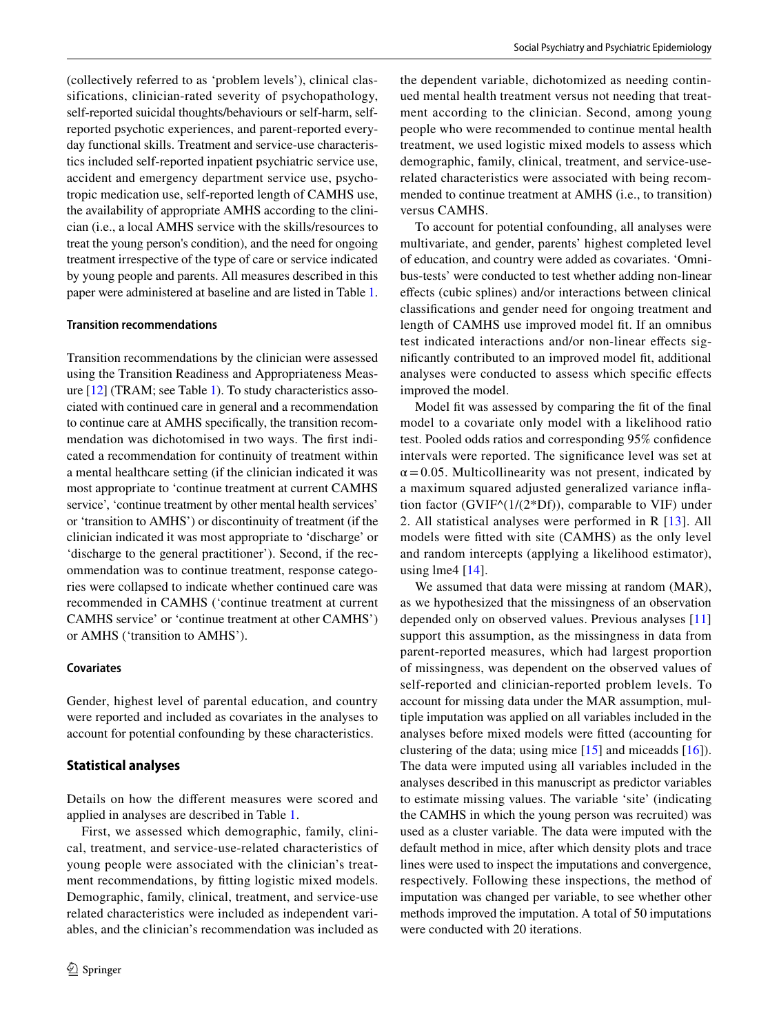(collectively referred to as 'problem levels'), clinical classifications, clinician-rated severity of psychopathology, self-reported suicidal thoughts/behaviours or self-harm, selfreported psychotic experiences, and parent-reported everyday functional skills. Treatment and service-use characteristics included self-reported inpatient psychiatric service use, accident and emergency department service use, psychotropic medication use, self-reported length of CAMHS use, the availability of appropriate AMHS according to the clinician (i.e., a local AMHS service with the skills/resources to treat the young person's condition), and the need for ongoing treatment irrespective of the type of care or service indicated by young people and parents. All measures described in this paper were administered at baseline and are listed in Table [1.](#page-4-0)

#### **Transition recommendations**

Transition recommendations by the clinician were assessed using the Transition Readiness and Appropriateness Measure [\[12](#page-15-6)] (TRAM; see Table [1\)](#page-4-0). To study characteristics associated with continued care in general and a recommendation to continue care at AMHS specifcally, the transition recommendation was dichotomised in two ways. The frst indicated a recommendation for continuity of treatment within a mental healthcare setting (if the clinician indicated it was most appropriate to 'continue treatment at current CAMHS service', 'continue treatment by other mental health services' or 'transition to AMHS') or discontinuity of treatment (if the clinician indicated it was most appropriate to 'discharge' or 'discharge to the general practitioner'). Second, if the recommendation was to continue treatment, response categories were collapsed to indicate whether continued care was recommended in CAMHS ('continue treatment at current CAMHS service' or 'continue treatment at other CAMHS') or AMHS ('transition to AMHS').

#### **Covariates**

Gender, highest level of parental education, and country were reported and included as covariates in the analyses to account for potential confounding by these characteristics.

### **Statistical analyses**

Details on how the diferent measures were scored and applied in analyses are described in Table [1](#page-4-0).

First, we assessed which demographic, family, clinical, treatment, and service-use-related characteristics of young people were associated with the clinician's treatment recommendations, by ftting logistic mixed models. Demographic, family, clinical, treatment, and service-use related characteristics were included as independent variables, and the clinician's recommendation was included as the dependent variable, dichotomized as needing continued mental health treatment versus not needing that treatment according to the clinician. Second, among young people who were recommended to continue mental health treatment, we used logistic mixed models to assess which demographic, family, clinical, treatment, and service-userelated characteristics were associated with being recommended to continue treatment at AMHS (i.e., to transition) versus CAMHS.

To account for potential confounding, all analyses were multivariate, and gender, parents' highest completed level of education, and country were added as covariates. 'Omnibus-tests' were conducted to test whether adding non-linear efects (cubic splines) and/or interactions between clinical classifcations and gender need for ongoing treatment and length of CAMHS use improved model ft. If an omnibus test indicated interactions and/or non-linear efects signifcantly contributed to an improved model ft, additional analyses were conducted to assess which specifc efects improved the model.

Model ft was assessed by comparing the ft of the fnal model to a covariate only model with a likelihood ratio test. Pooled odds ratios and corresponding 95% confdence intervals were reported. The signifcance level was set at  $\alpha$  = 0.05. Multicollinearity was not present, indicated by a maximum squared adjusted generalized variance infation factor (GVIF^(1/(2\*Df)), comparable to VIF) under 2. All statistical analyses were performed in R [[13\]](#page-15-7). All models were ftted with site (CAMHS) as the only level and random intercepts (applying a likelihood estimator), using lme4  $[14]$  $[14]$ .

We assumed that data were missing at random (MAR), as we hypothesized that the missingness of an observation depended only on observed values. Previous analyses [[11\]](#page-15-5) support this assumption, as the missingness in data from parent-reported measures, which had largest proportion of missingness, was dependent on the observed values of self-reported and clinician-reported problem levels. To account for missing data under the MAR assumption, multiple imputation was applied on all variables included in the analyses before mixed models were ftted (accounting for clustering of the data; using mice  $[15]$  and miceadds  $[16]$  $[16]$  $[16]$ . The data were imputed using all variables included in the analyses described in this manuscript as predictor variables to estimate missing values. The variable 'site' (indicating the CAMHS in which the young person was recruited) was used as a cluster variable. The data were imputed with the default method in mice, after which density plots and trace lines were used to inspect the imputations and convergence, respectively. Following these inspections, the method of imputation was changed per variable, to see whether other methods improved the imputation. A total of 50 imputations were conducted with 20 iterations.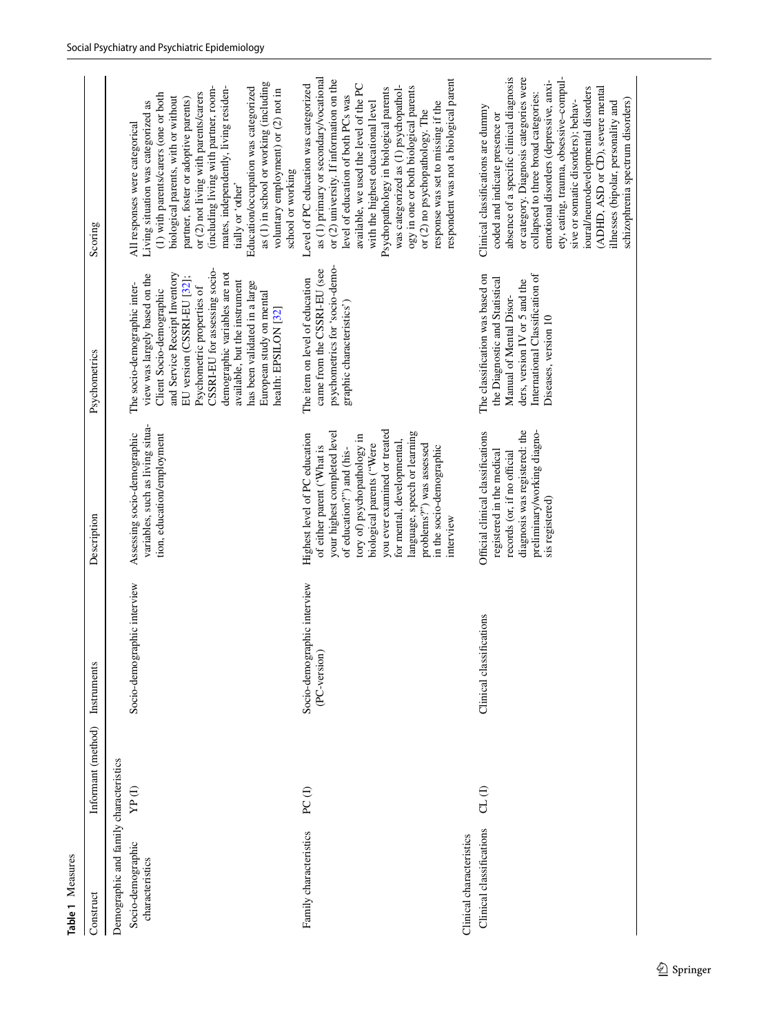<span id="page-4-0"></span>

| Table 1 Measures                                                               |                    |                                             |                                                                                                                                                                                                                                                                                                                                                         |                                                                                                                                                                                                                                                                                                                                                                                |                                                                                                                                                                                                                                                                                                                                                                                                                                                                                               |
|--------------------------------------------------------------------------------|--------------------|---------------------------------------------|---------------------------------------------------------------------------------------------------------------------------------------------------------------------------------------------------------------------------------------------------------------------------------------------------------------------------------------------------------|--------------------------------------------------------------------------------------------------------------------------------------------------------------------------------------------------------------------------------------------------------------------------------------------------------------------------------------------------------------------------------|-----------------------------------------------------------------------------------------------------------------------------------------------------------------------------------------------------------------------------------------------------------------------------------------------------------------------------------------------------------------------------------------------------------------------------------------------------------------------------------------------|
| Construct                                                                      | Informant (method) | Instruments                                 | Description                                                                                                                                                                                                                                                                                                                                             | Psychometrics                                                                                                                                                                                                                                                                                                                                                                  | Scoring                                                                                                                                                                                                                                                                                                                                                                                                                                                                                       |
| Demographic and family characteristics<br>Socio-demographic<br>characteristics | YP (I)             | Socio-demographic interview                 | variables, such as living situa-<br>Assessing socio-demographic<br>tion, education/employment                                                                                                                                                                                                                                                           | CSSRI-EU for assessing socio-<br>and Service Receipt Inventory<br>demographic variables are not<br>view was largely based on the<br>EU version (CSSRI-EU [32];<br>available, but the instrument<br>has been validated in a large<br>The socio-demographic inter-<br>Psychometric properties of<br>Client Socio-demographic<br>European study on mental<br>health: EPSILON [32] | as (1) in school or working (including<br>(including living with partner, room-<br>mates, independently, living residen-<br>Education/occupation was categorized<br>voluntary employment) or (2) not in<br>or (2) not living with parents/carers<br>(1) with parents/carers (one or both<br>biological parents, with or without<br>partner, foster or adoptive parents)<br>Living situation was categorized as<br>All responses were categorical<br>school or working<br>tially or 'other'    |
| Family characteristics                                                         | PC(1)              | Socio-demographic interview<br>(PC-version) | you ever examined or treated<br>your highest completed level<br>language, speech or learning<br>Highest level of PC education<br>tory of) psychopathology in<br>for mental, developmental,<br>biological parents ("Were<br>problems?") was assessed<br>in the socio-demographic<br>of either parent ('What is<br>of education?") and (his-<br>interview | psychometrics for 'socio-demo-<br>came from the CSSRI-EU (see<br>The item on level of education<br>graphic characteristics')                                                                                                                                                                                                                                                   | as (1) primary or secondary/vocational<br>respondent was not a biological parent<br>or (2) university. If information on the<br>available, we used the level of the PC<br>Level of PC education was categorized<br>was categorized as (1) psychopathol-<br>ogy in one or both biological parents<br>Psychopathology in biological parents<br>level of education of both PCs was<br>with the highest educational level<br>response was set to missing if the<br>or (2) no psychopathology. The |
| Clinical classifications<br>Clinical characteristics                           | $CL$ $(I)$         | Clinical classifications                    | diagnosis was registered: the<br>preliminary/working diagno-<br>Official clinical classifications<br>registered in the medical<br>records (or, if no official<br>sis registered)                                                                                                                                                                        | International Classification of<br>The classification was based on<br>the Diagnostic and Statistical<br>ders, version IV or 5 and the<br>Manual of Mental Disor-<br>Diseases, version 10                                                                                                                                                                                       | absence of a specific clinical diagnosis<br>ety, eating, trauma, obsessive-compul-<br>or category. Diagnosis categories were<br>emotional disorders (depressive, anxi-<br>ioural/neurodevelopmental disorders<br>(ADHD, ASD or CD), severe mental<br>collapsed to three broad categories:<br>schizophrenia spectrum disorders)<br>sive or somatic disorders); behav-<br>illnesses (bipolar, personality and<br>Clinical classifications are dummy<br>coded and indicate presence or           |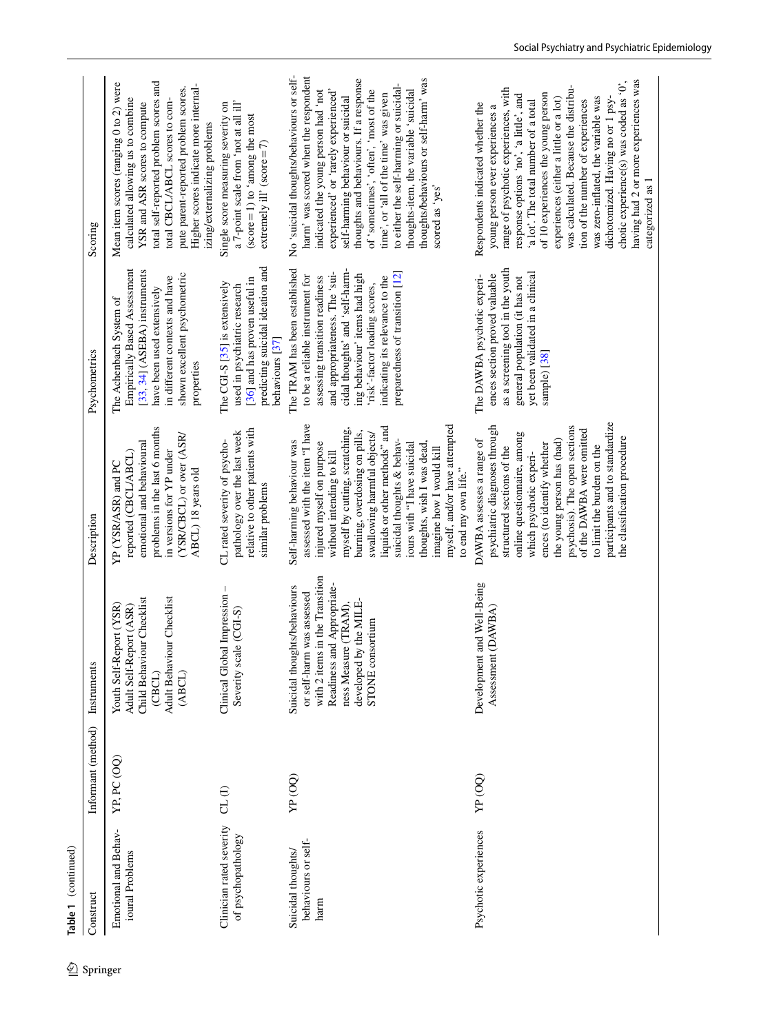| �        | Table 1 (continued)                               |                    |                                                                                                                                                                                                 |                                                                                                                                                                                                                                                                                                                                                                                                                                           |                                                                                                                                                                                                                                                                                                                 |                                                                                                                                                                                                                                                                                                                                                                                                                                                                                                                                                |
|----------|---------------------------------------------------|--------------------|-------------------------------------------------------------------------------------------------------------------------------------------------------------------------------------------------|-------------------------------------------------------------------------------------------------------------------------------------------------------------------------------------------------------------------------------------------------------------------------------------------------------------------------------------------------------------------------------------------------------------------------------------------|-----------------------------------------------------------------------------------------------------------------------------------------------------------------------------------------------------------------------------------------------------------------------------------------------------------------|------------------------------------------------------------------------------------------------------------------------------------------------------------------------------------------------------------------------------------------------------------------------------------------------------------------------------------------------------------------------------------------------------------------------------------------------------------------------------------------------------------------------------------------------|
| Springer | Construct                                         | Informant (method) | Instruments                                                                                                                                                                                     | Description                                                                                                                                                                                                                                                                                                                                                                                                                               | Psychometrics                                                                                                                                                                                                                                                                                                   | Scoring                                                                                                                                                                                                                                                                                                                                                                                                                                                                                                                                        |
|          | Emotional and Behav-<br>ioural Problems           | YP, PC (OQ)        | Child Behaviour Checklist<br>Adult Behaviour Checklist<br>Youth Self-Report (YSR)<br>Adult Self-Report (ASR)<br>(CBCL)<br>(ABCL)                                                                | problems in the last 6 months<br>(YSR/CBCL) or over (ASR/<br>emotional and behavioural<br>in versions for YP under<br>reported (CBCL/ABCL)<br>YP (YSR/ASR) and PC<br>ABCL) 18 years old                                                                                                                                                                                                                                                   | Empirically Based Assessment<br>[33, 34] (ASEBA) instruments<br>shown excellent psychometric<br>in different contexts and have<br>have been used extensively<br>The Achenbach System of<br>properties                                                                                                           | total self-reported problem scores and<br>Mean item scores (ranging 0 to 2) were<br>Higher scores indicate more internal-<br>pute parent-reported problem scores.<br>calculated allowing us to combine<br>total CBCL/ABCL scores to com-<br>YSR and ASR scores to compute<br>izing/externalizing problems                                                                                                                                                                                                                                      |
|          | Clinician rated severity<br>of psychopathology    | CL(1)              | Clinical Global Impression -<br>Severity scale (CGI-S)                                                                                                                                          | relative to other patients with<br>pathology over the last week<br>CL rated severity of psycho-<br>similar problems                                                                                                                                                                                                                                                                                                                       | predicting suicidal ideation and<br>[36] and has proven useful in<br>The CGI-S [35] is extensively<br>used in psychiatric research<br>behaviours [37]                                                                                                                                                           | a 7-point scale from 'not at all ill'<br>Single score measuring severity on<br>(score=1) to 'among the most<br>extremely ill' $(\text{score}=7)$                                                                                                                                                                                                                                                                                                                                                                                               |
|          | behaviours or self-<br>Suicidal thoughts/<br>harm | YP (OQ)            | with 2 items in the Transition<br>Readiness and Appropriate-<br>Suicidal thoughts/behaviours<br>or self-harm was assessed<br>developed by the MILE-<br>ness Measure (TRAM),<br>STONE consortium | assessed with the item "I have<br>myself, and/or have attempted<br>liquids or other methods" and<br>myself by cutting, scratching,<br>burning, overdosing on pills,<br>swallowing harmful objects/<br>suicidal thoughts & behav-<br>Self-harming behaviour was<br>thoughts, wish I was dead,<br>injured myself on purpose<br>iours with "I have suicidal<br>imagine how I would kill<br>without intending to kill<br>to end my own life." | The TRAM has been established<br>cidal thoughts' and 'self-harm-<br>and appropriateness. The 'sui-<br>preparedness of transition [12]<br>ing behaviour' items had high<br>to be a reliable instrument for<br>indicating its relevance to the<br>assessing transition readiness<br>'risk'-factor loading scores, | No 'suicidal thoughts/behaviours or self-<br>harm' was scored when the respondent<br>thoughts and behaviours. If a response<br>thoughts/behaviours or self-harm' was<br>to either the self-harming or suicidal-<br>of 'sometimes', 'often', 'most of the<br>experienced' or 'rarely experienced'<br>thoughts-item, the variable 'suicidal<br>indicated the young person had 'not<br>time', or 'all of the time' was given<br>self-harming behaviour or suicidal<br>scored as 'yes'                                                             |
|          | Psychotic experiences                             | YP (OQ)            | and Well-Being<br><b>OAWBA</b><br>Development<br>Assessment                                                                                                                                     | participants and to standardize<br>psychosis). The open sections<br>psychiatric diagnoses through<br>of the DAWBA were omitted<br>online questionnaire, among<br>the classification procedure<br>DAWBA assesses a range of<br>the young person has (had)<br>ences (to identify whether<br>to limit the burden on the<br>structured sections of the<br>which psychotic experi-                                                             | as a screening tool in the youth<br>yet been validated in a clinical<br>ences section proved valuable<br>The DAWBA psychotic experi-<br>general population (it has not<br>sample) [38]                                                                                                                          | having had 2 or more experiences was<br>chotic experience(s) was coded as '0',<br>was calculated. Because the distribu-<br>range of psychotic experiences, with<br>of 10 experiences the young person<br>response options 'no', 'a little', and<br>experiences (either a little or a lot)<br>was zero-inflated, the variable was<br>dichotomized. Having no or 1 psy-<br>'a lot'. The total number of a total<br>tion of the number of experiences<br>Respondents indicated whether the<br>young person ever experiences a<br>categorized as 1 |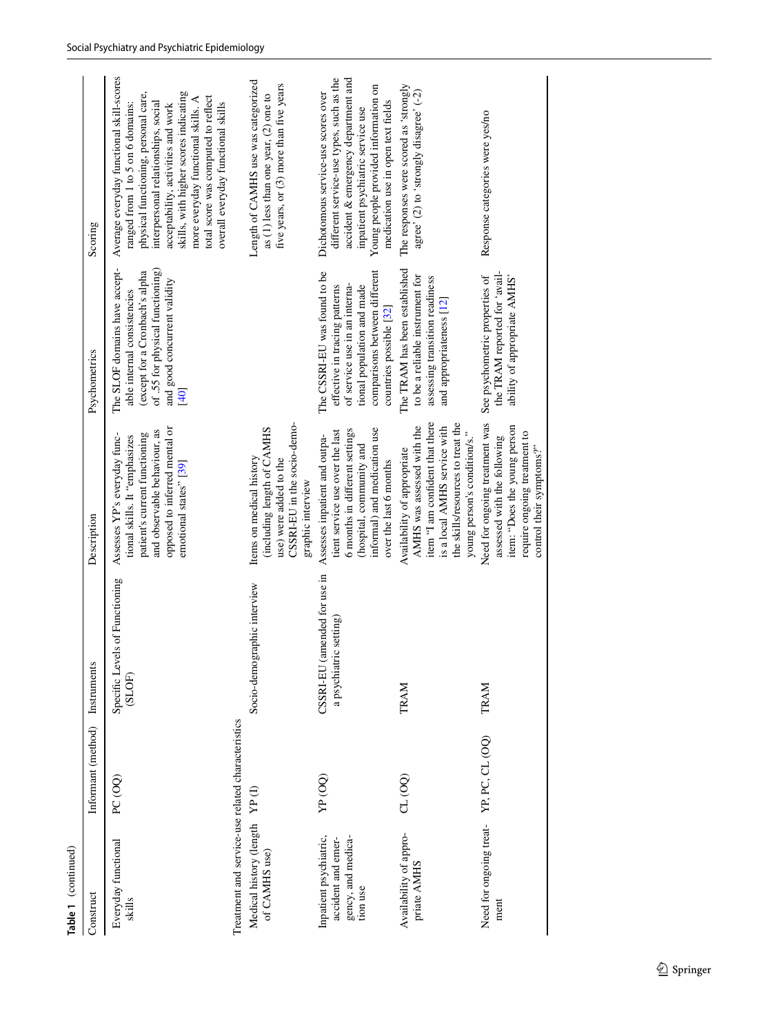| Table 1 (continued)                                                                |                    |                                                                     |                                                                                                                                                                                                   |                                                                                                                                                                                          |                                                                                                                                                                                                                                                                                                                                                               |
|------------------------------------------------------------------------------------|--------------------|---------------------------------------------------------------------|---------------------------------------------------------------------------------------------------------------------------------------------------------------------------------------------------|------------------------------------------------------------------------------------------------------------------------------------------------------------------------------------------|---------------------------------------------------------------------------------------------------------------------------------------------------------------------------------------------------------------------------------------------------------------------------------------------------------------------------------------------------------------|
| Construct                                                                          | Informant (method) | Instruments                                                         | Description                                                                                                                                                                                       | Psychometrics                                                                                                                                                                            | Scoring                                                                                                                                                                                                                                                                                                                                                       |
| Treatment and service-use related characteristics<br>Everyday functional<br>skills | PC(OQ)             | Specific Levels of Functioning<br>(SLOF)                            | opposed to inferred mental or<br>and observable behaviour, as<br>patient's current functioning<br>Assesses YP's everyday func-<br>tional skills. It "emphasizes<br>emotional states" [39]         | The SLOF domains have accept-<br>of .55 for physical functioning)<br>(except for a Cronbach's alpha<br>and good concurrent validity<br>able internal consistencies<br>[40]               | Average everyday functional skill-scores<br>physical functioning, personal care,<br>skills, with higher scores indicating<br>total score was computed to reflect<br>more everyday functional skills. A<br>interpersonal relationships, social<br>ranged from 1 to 5 on 6 domains:<br>overall everyday functional skills<br>acceptability, activities and work |
| Medical history (length<br>of CAMHS use)                                           | YP(1)              | Socio-demographic interview                                         | CSSRI-EU in the socio-demo-<br>(including length of CAMHS<br>Items on medical history<br>use) were added to the<br>graphic interview                                                              |                                                                                                                                                                                          | Length of CAMHS use was categorized<br>five years, or $(3)$ more than five years<br>as $(1)$ less than one year, $(2)$ one to                                                                                                                                                                                                                                 |
| Inpatient psychiatric,<br>gency, and medica-<br>accident and emer-<br>tion use     | YP (OO)            | amended for use in<br>ric setting<br>a psychiati<br><b>CSSRI-EU</b> | informal) and medication use<br>6 months in different settings<br>tient service use over the last<br>Assesses inpatient and outpa-<br>(hospital, community and<br>over the last 6 months          | comparisons between different<br>The CSSRI-EU was found to be<br>of service use in an interna-<br>effective in tracing patterns<br>tional population and made<br>countries possible [32] | different service-use types, such as the<br>accident & emergency department and<br>Young people provided information on<br>Dichotomous service-use scores over<br>medication use in open text fields<br>inpatient psychiatric service use                                                                                                                     |
| Availability of appro-<br>priate AMHS                                              | CL (OQ)            | TRAM                                                                | item "I am confident that there<br>the skills/resources to treat the<br>is a local AMHS service with<br>AMHS was assessed with the<br>young person's condition/s."<br>Availability of appropriate | The TRAM has been established<br>to be a reliable instrument for<br>assessing transition readiness<br>and appropriateness [12]                                                           | The responses were scored as 'strongly<br>agree' (2) to 'strongly disagree' (-2)                                                                                                                                                                                                                                                                              |
| Need for ongoing treat-<br>ment                                                    | YP, PC, CL (OQ)    | TRAM                                                                | Need for ongoing treatment was<br>item: "Does the young person<br>require ongoing treatment to<br>assessed with the following<br>control their symptoms?"                                         | the TRAM reported for 'avail-<br>See psychometric properties of<br>ability of appropriate AMHS'                                                                                          | Response categories were yes/no                                                                                                                                                                                                                                                                                                                               |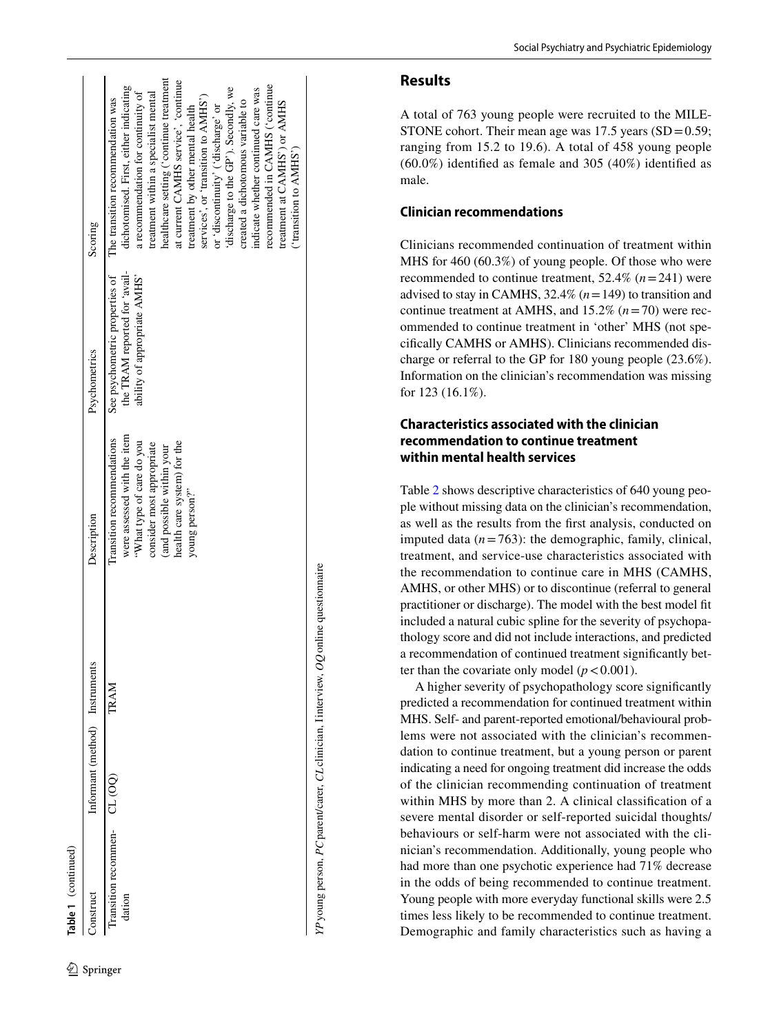| Table 1 (continued)                    |                                |      |                                                                                                                                                                                                  |                                                                                                 |                                                                                                                                                                                                                                                                                                                                                                                                                                                                                                                                                    |
|----------------------------------------|--------------------------------|------|--------------------------------------------------------------------------------------------------------------------------------------------------------------------------------------------------|-------------------------------------------------------------------------------------------------|----------------------------------------------------------------------------------------------------------------------------------------------------------------------------------------------------------------------------------------------------------------------------------------------------------------------------------------------------------------------------------------------------------------------------------------------------------------------------------------------------------------------------------------------------|
| construct                              | Informant (method) Instruments |      | Description                                                                                                                                                                                      | Psychometrics                                                                                   | Scoring                                                                                                                                                                                                                                                                                                                                                                                                                                                                                                                                            |
| Transition recommen- CL (OQ)<br>dation |                                | TRAM | were assessed with the item<br>Iransition recommendations<br>"What type of care do you<br>health care system) for the<br>consider most appropriate<br>and possible within your<br>young person?" | the TRAM reported for 'avail-<br>See psychometric properties of<br>ability of appropriate AMHS' | healthcare setting ('continue treatment<br>at current CAMHS service', 'continue<br>recommended in CAMHS ('continue<br>dichotomised. First, either indicating<br>discharge to the GP'). Secondly, we<br>ndicate whether continued care was<br>a recommendation for continuity of<br>treatment within a specialist mental<br>services', or 'transition to AMHS')<br>The transition recommendation was<br>created a dichotomous variable to<br>treatment at CAMHS') or AMHS<br>or 'discontinuity' ('discharge' or<br>treatment by other mental health |

# **Results**

('transition to AMHS')

"transition to AMHS"

*YP*young person, *PC*parent/carer, *CL*clinician, Iinterview, *OQ*online questionnaire

YP young person, PC parent/carer, CL clinician, I interview, OQ online questionnaire

A total of 763 young people were recruited to the MILE - STONE cohort. Their mean age was  $17.5$  years  $(SD=0.59;$ ranging from 15.2 to 19.6). A total of 458 young people (60.0%) identifed as female and 305 (40%) identifed as male.

# **Clinician recommendations**

Clinicians recommended continuation of treatment within MHS for 460 (60.3%) of young people. Of those who were recommended to continue treatment,  $52.4\%$   $(n=241)$  were advised to stay in CAMHS,  $32.4\%$  ( $n = 149$ ) to transition and continue treatment at AMHS, and  $15.2\%$   $(n=70)$  were recommended to continue treatment in 'other' MHS (not spe cifcally CAMHS or AMHS). Clinicians recommended dis charge or referral to the GP for 180 young people (23.6%). Information on the clinician's recommendation was missing for 123 (16.1%).

# **Characteristics associated with the clinician recommendation to continue treatment within mental health services**

Table [2](#page-9-0) shows descriptive characteristics of 640 young peo ple without missing data on the clinician's recommendation, as well as the results from the frst analysis, conducted on imputed data  $(n=763)$ : the demographic, family, clinical, treatment, and service-use characteristics associated with the recommendation to continue care in MHS (CAMHS, AMHS, or other MHS) or to discontinue (referral to general practitioner or discharge). The model with the best model ft included a natural cubic spline for the severity of psychopa thology score and did not include interactions, and predicted a recommendation of continued treatment signifcantly bet ter than the covariate only model  $(p < 0.001)$ .

A higher severity of psychopathology score signifcantly predicted a recommendation for continued treatment within MHS. Self- and parent-reported emotional/behavioural prob lems were not associated with the clinician's recommen dation to continue treatment, but a young person or parent indicating a need for ongoing treatment did increase the odds of the clinician recommending continuation of treatment within MHS by more than 2. A clinical classifcation of a severe mental disorder or self-reported suicidal thoughts/ behaviours or self-harm were not associated with the cli nician's recommendation. Additionally, young people who had more than one psychotic experience had 71% decrease in the odds of being recommended to continue treatment. Young people with more everyday functional skills were 2.5 times less likely to be recommended to continue treatment. Demographic and family characteristics such as having a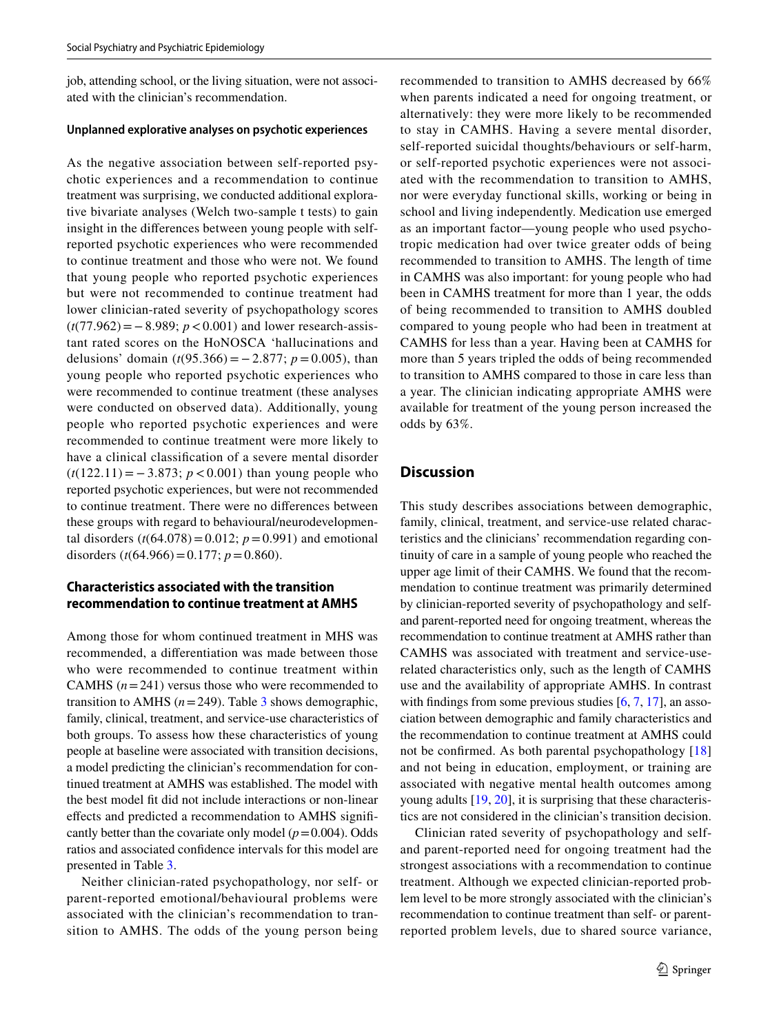job, attending school, or the living situation, were not associated with the clinician's recommendation.

#### **Unplanned explorative analyses on psychotic experiences**

As the negative association between self-reported psychotic experiences and a recommendation to continue treatment was surprising, we conducted additional explorative bivariate analyses (Welch two-sample t tests) to gain insight in the diferences between young people with selfreported psychotic experiences who were recommended to continue treatment and those who were not. We found that young people who reported psychotic experiences but were not recommended to continue treatment had lower clinician-rated severity of psychopathology scores (*t*(77.962)=−8.989; *p*<0.001) and lower research-assistant rated scores on the HoNOSCA 'hallucinations and delusions' domain  $(t(95.366) = -2.877$ ;  $p = 0.005$ ), than young people who reported psychotic experiences who were recommended to continue treatment (these analyses were conducted on observed data). Additionally, young people who reported psychotic experiences and were recommended to continue treatment were more likely to have a clinical classifcation of a severe mental disorder (*t*(122.11) = − 3.873; *p* < 0.001) than young people who reported psychotic experiences, but were not recommended to continue treatment. There were no diferences between these groups with regard to behavioural/neurodevelopmental disorders  $(t(64.078) = 0.012; p = 0.991)$  and emotional disorders  $(t(64.966)=0.177; p=0.860)$ .

# **Characteristics associated with the transition recommendation to continue treatment at AMHS**

Among those for whom continued treatment in MHS was recommended, a diferentiation was made between those who were recommended to continue treatment within CAMHS  $(n=241)$  versus those who were recommended to transition to AMHS  $(n=249)$ . Table [3](#page-11-0) shows demographic, family, clinical, treatment, and service-use characteristics of both groups. To assess how these characteristics of young people at baseline were associated with transition decisions, a model predicting the clinician's recommendation for continued treatment at AMHS was established. The model with the best model ft did not include interactions or non-linear efects and predicted a recommendation to AMHS signifcantly better than the covariate only model  $(p=0.004)$ . Odds ratios and associated confdence intervals for this model are presented in Table [3.](#page-11-0)

Neither clinician-rated psychopathology, nor self- or parent-reported emotional/behavioural problems were associated with the clinician's recommendation to transition to AMHS. The odds of the young person being recommended to transition to AMHS decreased by 66% when parents indicated a need for ongoing treatment, or alternatively: they were more likely to be recommended to stay in CAMHS. Having a severe mental disorder, self-reported suicidal thoughts/behaviours or self-harm, or self-reported psychotic experiences were not associated with the recommendation to transition to AMHS, nor were everyday functional skills, working or being in school and living independently. Medication use emerged as an important factor—young people who used psychotropic medication had over twice greater odds of being recommended to transition to AMHS. The length of time in CAMHS was also important: for young people who had been in CAMHS treatment for more than 1 year, the odds of being recommended to transition to AMHS doubled compared to young people who had been in treatment at CAMHS for less than a year. Having been at CAMHS for more than 5 years tripled the odds of being recommended to transition to AMHS compared to those in care less than a year. The clinician indicating appropriate AMHS were available for treatment of the young person increased the odds by 63%.

# **Discussion**

This study describes associations between demographic, family, clinical, treatment, and service-use related characteristics and the clinicians' recommendation regarding continuity of care in a sample of young people who reached the upper age limit of their CAMHS. We found that the recommendation to continue treatment was primarily determined by clinician-reported severity of psychopathology and selfand parent-reported need for ongoing treatment, whereas the recommendation to continue treatment at AMHS rather than CAMHS was associated with treatment and service-userelated characteristics only, such as the length of CAMHS use and the availability of appropriate AMHS. In contrast with findings from some previous studies [[6,](#page-15-0) [7](#page-15-1), [17](#page-15-11)], an association between demographic and family characteristics and the recommendation to continue treatment at AMHS could not be confrmed. As both parental psychopathology [[18\]](#page-15-12) and not being in education, employment, or training are associated with negative mental health outcomes among young adults [\[19](#page-15-13), [20](#page-15-14)], it is surprising that these characteristics are not considered in the clinician's transition decision.

Clinician rated severity of psychopathology and selfand parent-reported need for ongoing treatment had the strongest associations with a recommendation to continue treatment. Although we expected clinician-reported problem level to be more strongly associated with the clinician's recommendation to continue treatment than self- or parentreported problem levels, due to shared source variance,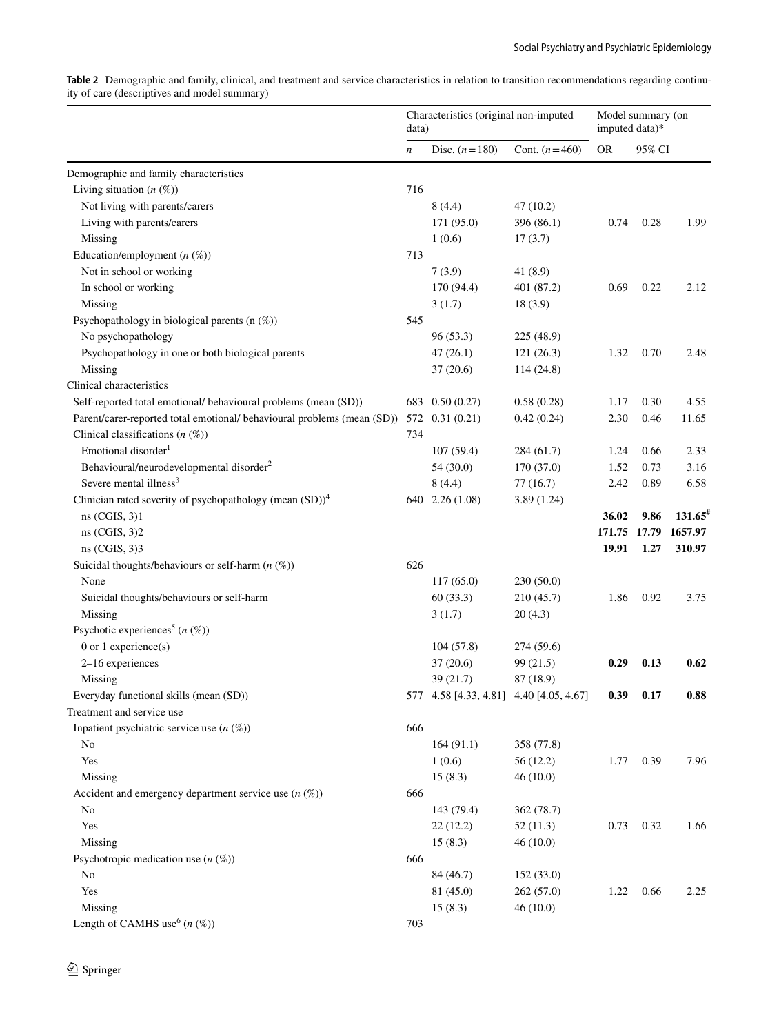|                                                                         | data)            | Characteristics (original non-imputed   |                 | imputed data)* | Model summary (on |                       |
|-------------------------------------------------------------------------|------------------|-----------------------------------------|-----------------|----------------|-------------------|-----------------------|
|                                                                         | $\boldsymbol{n}$ | Disc. $(n = 180)$                       | Cont. $(n=460)$ | <b>OR</b>      | 95% CI            |                       |
| Demographic and family characteristics                                  |                  |                                         |                 |                |                   |                       |
| Living situation $(n \, (\%)$                                           | 716              |                                         |                 |                |                   |                       |
| Not living with parents/carers                                          |                  | 8(4.4)                                  | 47 (10.2)       |                |                   |                       |
| Living with parents/carers                                              |                  | 171 (95.0)                              | 396 (86.1)      | 0.74           | 0.28              | 1.99                  |
| Missing                                                                 |                  | 1(0.6)                                  | 17(3.7)         |                |                   |                       |
| Education/employment $(n \, (\%)$                                       | 713              |                                         |                 |                |                   |                       |
| Not in school or working                                                |                  | 7(3.9)                                  | 41 (8.9)        |                |                   |                       |
| In school or working                                                    |                  | 170 (94.4)                              | 401 (87.2)      | 0.69           | 0.22              | 2.12                  |
| Missing                                                                 |                  | 3(1.7)                                  | 18 (3.9)        |                |                   |                       |
| Psychopathology in biological parents (n (%))                           | 545              |                                         |                 |                |                   |                       |
| No psychopathology                                                      |                  | 96(53.3)                                | 225 (48.9)      |                |                   |                       |
| Psychopathology in one or both biological parents                       |                  | 47(26.1)                                | 121(26.3)       | 1.32           | 0.70              | 2.48                  |
| Missing                                                                 |                  | 37(20.6)                                | 114 (24.8)      |                |                   |                       |
| Clinical characteristics                                                |                  |                                         |                 |                |                   |                       |
| Self-reported total emotional/ behavioural problems (mean (SD))         |                  | 683 0.50 (0.27)                         | 0.58(0.28)      | 1.17           | 0.30              | 4.55                  |
| Parent/carer-reported total emotional/ behavioural problems (mean (SD)) |                  | 572 0.31 (0.21)                         | 0.42(0.24)      | 2.30           | 0.46              | 11.65                 |
| Clinical classifications $(n \, (\%)$                                   | 734              |                                         |                 |                |                   |                       |
| Emotional disorder <sup>1</sup>                                         |                  | 107(59.4)                               | 284 (61.7)      | 1.24           | 0.66              | 2.33                  |
| Behavioural/neurodevelopmental disorder <sup>2</sup>                    |                  | 54(30.0)                                | 170 (37.0)      | 1.52           | 0.73              | 3.16                  |
| Severe mental illness <sup>3</sup>                                      |                  | 8(4.4)                                  | 77(16.7)        | 2.42           | 0.89              | 6.58                  |
| Clinician rated severity of psychopathology (mean $(SD)$ ) <sup>4</sup> |                  | 640 2.26 (1.08)                         | 3.89(1.24)      |                |                   |                       |
| $ns$ (CGIS, 3)1                                                         |                  |                                         |                 | 36.02          | 9.86              | $131.65$ <sup>#</sup> |
| ns (CGIS, 3)2                                                           |                  |                                         |                 | 171.75         | 17.79             | 1657.97               |
| $ns$ (CGIS, 3)3                                                         |                  |                                         |                 | 19.91          | 1.27              | 310.97                |
| Suicidal thoughts/behaviours or self-harm $(n \, (\%))$                 | 626              |                                         |                 |                |                   |                       |
| None                                                                    |                  | 117(65.0)                               | 230 (50.0)      |                |                   |                       |
| Suicidal thoughts/behaviours or self-harm                               |                  | 60(33.3)                                | 210(45.7)       | 1.86           | 0.92              | 3.75                  |
| Missing                                                                 |                  | 3(1.7)                                  | 20(4.3)         |                |                   |                       |
| Psychotic experiences <sup>5</sup> ( $n$ (%))                           |                  |                                         |                 |                |                   |                       |
| 0 or 1 experience(s)                                                    |                  | 104(57.8)                               | 274 (59.6)      |                |                   |                       |
| 2-16 experiences                                                        |                  | 37(20.6)                                | 99 (21.5)       | 0.29           | 0.13              | 0.62                  |
| Missing                                                                 |                  | 39 (21.7)                               | 87 (18.9)       |                |                   |                       |
| Everyday functional skills (mean (SD))                                  |                  | 577 4.58 [4.33, 4.81] 4.40 [4.05, 4.67] |                 | 0.39           | 0.17              | 0.88                  |
| Treatment and service use                                               |                  |                                         |                 |                |                   |                       |
| Inpatient psychiatric service use $(n \, (\%)$                          | 666              |                                         |                 |                |                   |                       |
| No                                                                      |                  | 164(91.1)                               | 358 (77.8)      |                |                   |                       |
| Yes                                                                     |                  | 1(0.6)                                  | 56 (12.2)       | 1.77           | 0.39              | 7.96                  |
| Missing                                                                 |                  | 15(8.3)                                 | 46(10.0)        |                |                   |                       |
| Accident and emergency department service use $(n \, (\%)$              | 666              |                                         |                 |                |                   |                       |
| No                                                                      |                  | 143 (79.4)                              | 362 (78.7)      |                |                   |                       |
| Yes                                                                     |                  | 22(12.2)                                | 52(11.3)        | 0.73           | 0.32              | 1.66                  |
| Missing                                                                 |                  | 15(8.3)                                 | 46(10.0)        |                |                   |                       |
| Psychotropic medication use $(n \, (\%)$                                | 666              |                                         |                 |                |                   |                       |
| No                                                                      |                  | 84 (46.7)                               | 152 (33.0)      |                |                   |                       |
| Yes                                                                     |                  | 81 (45.0)                               | 262 (57.0)      | 1.22           | 0.66              | 2.25                  |
| Missing                                                                 |                  | 15(8.3)                                 | 46(10.0)        |                |                   |                       |
| Length of CAMHS use <sup>6</sup> $(n \ (\%)$                            | 703              |                                         |                 |                |                   |                       |

<span id="page-9-0"></span>**Table 2** Demographic and family, clinical, and treatment and service characteristics in relation to transition recommendations regarding continuity of care (descriptives and model summary)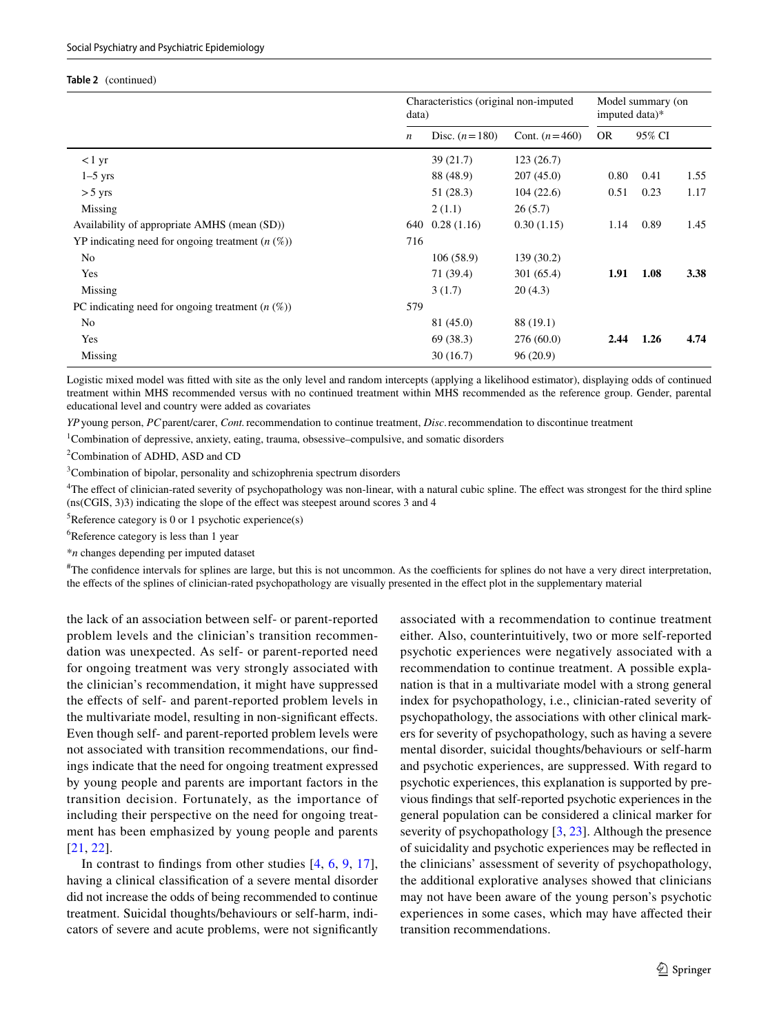#### **Table 2** (continued)

|                                                       | data)            | Characteristics (original non-imputed |                 | Model summary (on<br>imputed data)* |        |      |
|-------------------------------------------------------|------------------|---------------------------------------|-----------------|-------------------------------------|--------|------|
|                                                       | $\boldsymbol{n}$ | Disc. $(n=180)$                       | Cont. $(n=460)$ | <b>OR</b>                           | 95% CI |      |
| $<$ 1 yr                                              |                  | 39 (21.7)                             | 123(26.7)       |                                     |        |      |
| $1-5$ yrs                                             |                  | 88 (48.9)                             | 207(45.0)       | 0.80                                | 0.41   | 1.55 |
| $> 5$ yrs                                             |                  | 51(28.3)                              | 104(22.6)       | 0.51                                | 0.23   | 1.17 |
| Missing                                               |                  | 2(1.1)                                | 26(5.7)         |                                     |        |      |
| Availability of appropriate AMHS (mean (SD))          | 640              | 0.28(1.16)                            | 0.30(1.15)      | 1.14                                | 0.89   | 1.45 |
| YP indicating need for ongoing treatment $(n \, (\%)$ | 716              |                                       |                 |                                     |        |      |
| No                                                    |                  | 106(58.9)                             | 139 (30.2)      |                                     |        |      |
| Yes                                                   |                  | 71 (39.4)                             | 301 (65.4)      | 1.91                                | 1.08   | 3.38 |
| Missing                                               |                  | 3(1.7)                                | 20(4.3)         |                                     |        |      |
| PC indicating need for ongoing treatment $(n \, (\%)$ | 579              |                                       |                 |                                     |        |      |
| No                                                    |                  | 81 (45.0)                             | 88 (19.1)       |                                     |        |      |
| Yes                                                   |                  | 69 (38.3)                             | 276(60.0)       | 2.44                                | 1.26   | 4.74 |
| Missing                                               |                  | 30(16.7)                              | 96(20.9)        |                                     |        |      |

Logistic mixed model was ftted with site as the only level and random intercepts (applying a likelihood estimator), displaying odds of continued treatment within MHS recommended versus with no continued treatment within MHS recommended as the reference group. Gender, parental educational level and country were added as covariates

*YP*young person, *PC*parent/carer, *Cont.*recommendation to continue treatment, *Disc*.recommendation to discontinue treatment

<sup>1</sup>Combination of depressive, anxiety, eating, trauma, obsessive–compulsive, and somatic disorders

<sup>2</sup> Combination of ADHD, ASD and CD

<sup>3</sup>Combination of bipolar, personality and schizophrenia spectrum disorders

<sup>4</sup>The effect of clinician-rated severity of psychopathology was non-linear, with a natural cubic spline. The effect was strongest for the third spline (ns(CGIS, 3)3) indicating the slope of the efect was steepest around scores 3 and 4

 ${}^{5}$ Reference category is 0 or 1 psychotic experience(s)

6 Reference category is less than 1 year

\**n* changes depending per imputed dataset

# The confdence intervals for splines are large, but this is not uncommon. As the coefcients for splines do not have a very direct interpretation, the efects of the splines of clinician-rated psychopathology are visually presented in the efect plot in the supplementary material

the lack of an association between self- or parent-reported problem levels and the clinician's transition recommendation was unexpected. As self- or parent-reported need for ongoing treatment was very strongly associated with the clinician's recommendation, it might have suppressed the effects of self- and parent-reported problem levels in the multivariate model, resulting in non-signifcant efects. Even though self- and parent-reported problem levels were not associated with transition recommendations, our fndings indicate that the need for ongoing treatment expressed by young people and parents are important factors in the transition decision. Fortunately, as the importance of including their perspective on the need for ongoing treatment has been emphasized by young people and parents [[21,](#page-15-15) [22](#page-15-16)].

In contrast to fndings from other studies [\[4](#page-14-4), [6](#page-15-0), [9](#page-15-3), [17](#page-15-11)], having a clinical classifcation of a severe mental disorder did not increase the odds of being recommended to continue treatment. Suicidal thoughts/behaviours or self-harm, indicators of severe and acute problems, were not signifcantly associated with a recommendation to continue treatment either. Also, counterintuitively, two or more self-reported psychotic experiences were negatively associated with a recommendation to continue treatment. A possible explanation is that in a multivariate model with a strong general index for psychopathology, i.e., clinician-rated severity of psychopathology, the associations with other clinical markers for severity of psychopathology, such as having a severe mental disorder, suicidal thoughts/behaviours or self-harm and psychotic experiences, are suppressed. With regard to psychotic experiences, this explanation is supported by previous fndings that self-reported psychotic experiences in the general population can be considered a clinical marker for severity of psychopathology [\[3,](#page-14-2) [23](#page-15-17)]. Although the presence of suicidality and psychotic experiences may be refected in the clinicians' assessment of severity of psychopathology, the additional explorative analyses showed that clinicians may not have been aware of the young person's psychotic experiences in some cases, which may have afected their transition recommendations.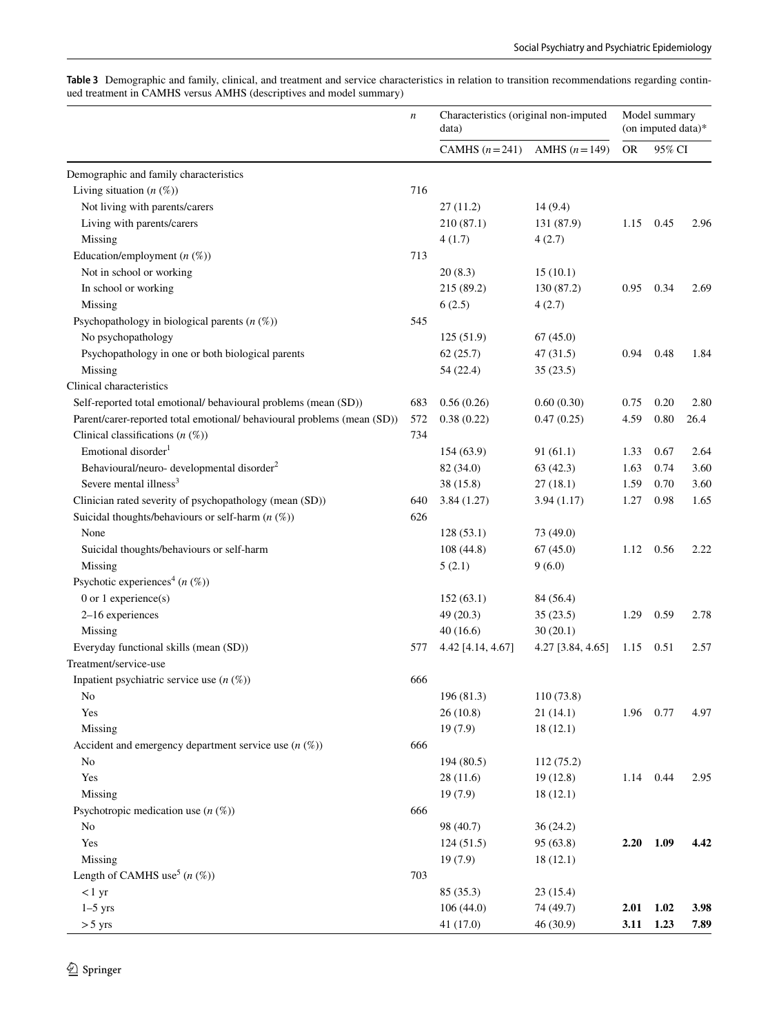<span id="page-11-0"></span>

|                                                                     |  |  |  | Table 3 Demographic and family, clinical, and treatment and service characteristics in relation to transition recommendations regarding contin- |  |
|---------------------------------------------------------------------|--|--|--|-------------------------------------------------------------------------------------------------------------------------------------------------|--|
| ued treatment in CAMHS versus AMHS (descriptives and model summary) |  |  |  |                                                                                                                                                 |  |

|                                                                         | $\boldsymbol{n}$ | Characteristics (original non-imputed<br>data) |                   |           | Model summary<br>(on imputed data)* |      |
|-------------------------------------------------------------------------|------------------|------------------------------------------------|-------------------|-----------|-------------------------------------|------|
|                                                                         |                  | CAMHS $(n=241)$                                | AMHS $(n=149)$    | <b>OR</b> | 95% CI                              |      |
| Demographic and family characteristics                                  |                  |                                                |                   |           |                                     |      |
| Living situation $(n \, (\%)$                                           | 716              |                                                |                   |           |                                     |      |
| Not living with parents/carers                                          |                  | 27(11.2)                                       | 14(9.4)           |           |                                     |      |
| Living with parents/carers                                              |                  | 210(87.1)                                      | 131 (87.9)        | 1.15      | 0.45                                | 2.96 |
| Missing                                                                 |                  | 4(1.7)                                         | 4(2.7)            |           |                                     |      |
| Education/employment $(n \, (\%))$                                      | 713              |                                                |                   |           |                                     |      |
| Not in school or working                                                |                  | 20(8.3)                                        | 15(10.1)          |           |                                     |      |
| In school or working                                                    |                  | 215 (89.2)                                     | 130 (87.2)        | 0.95      | 0.34                                | 2.69 |
| Missing                                                                 |                  | 6(2.5)                                         | 4(2.7)            |           |                                     |      |
| Psychopathology in biological parents $(n \, (\%))$                     | 545              |                                                |                   |           |                                     |      |
| No psychopathology                                                      |                  | 125 (51.9)                                     | 67(45.0)          |           |                                     |      |
| Psychopathology in one or both biological parents                       |                  | 62(25.7)                                       | 47(31.5)          | 0.94      | 0.48                                | 1.84 |
| Missing                                                                 |                  | 54 (22.4)                                      | 35(23.5)          |           |                                     |      |
| Clinical characteristics                                                |                  |                                                |                   |           |                                     |      |
| Self-reported total emotional/ behavioural problems (mean (SD))         | 683              | 0.56(0.26)                                     | 0.60(0.30)        | 0.75      | 0.20                                | 2.80 |
| Parent/carer-reported total emotional/ behavioural problems (mean (SD)) | 572              | 0.38(0.22)                                     | 0.47(0.25)        | 4.59      | $0.80\,$                            | 26.4 |
| Clinical classifications $(n \, (\%)$                                   | 734              |                                                |                   |           |                                     |      |
| Emotional disorder <sup>1</sup>                                         |                  | 154 (63.9)                                     | 91(61.1)          | 1.33      | 0.67                                | 2.64 |
| Behavioural/neuro- developmental disorder <sup>2</sup>                  |                  | 82 (34.0)                                      | 63(42.3)          | 1.63      | 0.74                                | 3.60 |
| Severe mental illness <sup>3</sup>                                      |                  | 38 (15.8)                                      | 27(18.1)          | 1.59      | 0.70                                | 3.60 |
| Clinician rated severity of psychopathology (mean (SD))                 | 640              | 3.84(1.27)                                     | 3.94(1.17)        | 1.27      | 0.98                                | 1.65 |
| Suicidal thoughts/behaviours or self-harm $(n \, (\%))$                 | 626              |                                                |                   |           |                                     |      |
| None                                                                    |                  | 128(53.1)                                      | 73 (49.0)         |           |                                     |      |
| Suicidal thoughts/behaviours or self-harm                               |                  | 108 (44.8)                                     | 67(45.0)          | 1.12      | 0.56                                | 2.22 |
| Missing                                                                 |                  | 5(2.1)                                         | 9(6.0)            |           |                                     |      |
| Psychotic experiences <sup>4</sup> ( $n$ (%))                           |                  |                                                |                   |           |                                     |      |
| $0$ or $1$ experience(s)                                                |                  | 152(63.1)                                      | 84 (56.4)         |           |                                     |      |
| 2-16 experiences                                                        |                  | 49(20.3)                                       | 35(23.5)          | 1.29      | 0.59                                | 2.78 |
| Missing                                                                 |                  | 40(16.6)                                       | 30(20.1)          |           |                                     |      |
| Everyday functional skills (mean (SD))                                  | 577              | 4.42 [4.14, 4.67]                              | 4.27 [3.84, 4.65] | 1.15      | 0.51                                | 2.57 |
| Treatment/service-use                                                   |                  |                                                |                   |           |                                     |      |
| Inpatient psychiatric service use $(n \, (\%))$                         | 666              |                                                |                   |           |                                     |      |
| No                                                                      |                  | 196 (81.3)                                     | 110 (73.8)        |           |                                     |      |
| Yes                                                                     |                  | 26(10.8)                                       | 21(14.1)          | 1.96      | 0.77                                | 4.97 |
| Missing                                                                 |                  | 19(7.9)                                        | 18(12.1)          |           |                                     |      |
| Accident and emergency department service use $(n \, (\%)$              | 666              |                                                |                   |           |                                     |      |
| N <sub>0</sub>                                                          |                  | 194 (80.5)                                     | 112 (75.2)        |           |                                     |      |
| Yes                                                                     |                  | 28(11.6)                                       | 19(12.8)          |           | 1.14 0.44                           | 2.95 |
| Missing                                                                 |                  | 19(7.9)                                        | 18(12.1)          |           |                                     |      |
| Psychotropic medication use $(n \, (\%)$                                | 666              |                                                |                   |           |                                     |      |
| N <sub>0</sub>                                                          |                  | 98 (40.7)                                      | 36(24.2)          |           |                                     |      |
| Yes                                                                     |                  | 124(51.5)                                      | 95 (63.8)         | 2.20      | 1.09                                | 4.42 |
| Missing                                                                 |                  | 19(7.9)                                        | 18(12.1)          |           |                                     |      |
| Length of CAMHS use <sup>5</sup> $(n \ (\%)$                            | 703              |                                                |                   |           |                                     |      |
| < 1 yr                                                                  |                  | 85 (35.3)                                      | 23(15.4)          |           |                                     |      |
| $1-5$ yrs                                                               |                  | 106 (44.0)                                     | 74 (49.7)         | 2.01      | 1.02                                | 3.98 |
| $> 5$ yrs                                                               |                  | 41 (17.0)                                      | 46 (30.9)         | 3.11      | 1.23                                | 7.89 |
|                                                                         |                  |                                                |                   |           |                                     |      |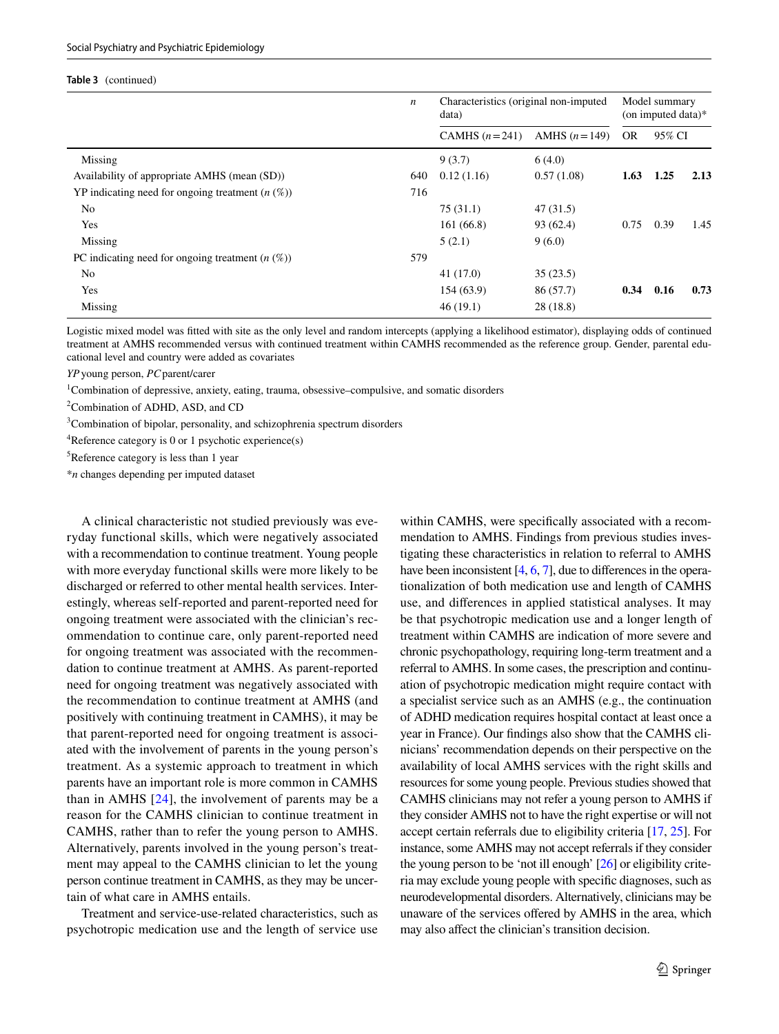#### **Table 3** (continued)

|                                                       | $\boldsymbol{n}$ | Characteristics (original non-imputed<br>data) |                  |           | Model summary<br>(on imputed data) $*$ |      |  |
|-------------------------------------------------------|------------------|------------------------------------------------|------------------|-----------|----------------------------------------|------|--|
|                                                       |                  | CAMHS $(n=241)$                                | AMHS $(n = 149)$ | <b>OR</b> | 95% CI                                 |      |  |
| Missing                                               |                  | 9(3.7)                                         | 6(4.0)           |           |                                        |      |  |
| Availability of appropriate AMHS (mean (SD))          | 640              | 0.12(1.16)                                     | 0.57(1.08)       | 1.63      | 1.25                                   | 2.13 |  |
| YP indicating need for ongoing treatment $(n \, (\%)$ | 716              |                                                |                  |           |                                        |      |  |
| N <sub>0</sub>                                        |                  | 75(31.1)                                       | 47(31.5)         |           |                                        |      |  |
| Yes                                                   |                  | 161(66.8)                                      | 93 (62.4)        | 0.75      | 0.39                                   | 1.45 |  |
| Missing                                               |                  | 5(2.1)                                         | 9(6.0)           |           |                                        |      |  |
| PC indicating need for ongoing treatment $(n \, (\%)$ | 579              |                                                |                  |           |                                        |      |  |
| No                                                    |                  | 41 (17.0)                                      | 35(23.5)         |           |                                        |      |  |
| Yes                                                   |                  | 154(63.9)                                      | 86 (57.7)        | 0.34      | 0.16                                   | 0.73 |  |
| Missing                                               |                  | 46(19.1)                                       | 28 (18.8)        |           |                                        |      |  |

Logistic mixed model was ftted with site as the only level and random intercepts (applying a likelihood estimator), displaying odds of continued treatment at AMHS recommended versus with continued treatment within CAMHS recommended as the reference group. Gender, parental educational level and country were added as covariates

*YP*young person, *PC*parent/carer

<sup>1</sup>Combination of depressive, anxiety, eating, trauma, obsessive–compulsive, and somatic disorders

<sup>2</sup> Combination of ADHD, ASD, and CD

<sup>3</sup>Combination of bipolar, personality, and schizophrenia spectrum disorders

<sup>4</sup>Reference category is 0 or 1 psychotic experience(s)

5 Reference category is less than 1 year

\**n* changes depending per imputed dataset

A clinical characteristic not studied previously was everyday functional skills, which were negatively associated with a recommendation to continue treatment. Young people with more everyday functional skills were more likely to be discharged or referred to other mental health services. Interestingly, whereas self-reported and parent-reported need for ongoing treatment were associated with the clinician's recommendation to continue care, only parent-reported need for ongoing treatment was associated with the recommendation to continue treatment at AMHS. As parent-reported need for ongoing treatment was negatively associated with the recommendation to continue treatment at AMHS (and positively with continuing treatment in CAMHS), it may be that parent-reported need for ongoing treatment is associated with the involvement of parents in the young person's treatment. As a systemic approach to treatment in which parents have an important role is more common in CAMHS than in AMHS [[24](#page-15-18)], the involvement of parents may be a reason for the CAMHS clinician to continue treatment in CAMHS, rather than to refer the young person to AMHS. Alternatively, parents involved in the young person's treatment may appeal to the CAMHS clinician to let the young person continue treatment in CAMHS, as they may be uncertain of what care in AMHS entails.

Treatment and service-use-related characteristics, such as psychotropic medication use and the length of service use within CAMHS, were specifcally associated with a recommendation to AMHS. Findings from previous studies investigating these characteristics in relation to referral to AMHS have been inconsistent [[4](#page-14-4), [6](#page-15-0), [7\]](#page-15-1), due to differences in the operationalization of both medication use and length of CAMHS use, and diferences in applied statistical analyses. It may be that psychotropic medication use and a longer length of treatment within CAMHS are indication of more severe and chronic psychopathology, requiring long-term treatment and a referral to AMHS. In some cases, the prescription and continuation of psychotropic medication might require contact with a specialist service such as an AMHS (e.g., the continuation of ADHD medication requires hospital contact at least once a year in France). Our fndings also show that the CAMHS clinicians' recommendation depends on their perspective on the availability of local AMHS services with the right skills and resources for some young people. Previous studies showed that CAMHS clinicians may not refer a young person to AMHS if they consider AMHS not to have the right expertise or will not accept certain referrals due to eligibility criteria [\[17,](#page-15-11) [25\]](#page-15-19). For instance, some AMHS may not accept referrals if they consider the young person to be 'not ill enough' [\[26\]](#page-15-20) or eligibility criteria may exclude young people with specifc diagnoses, such as neurodevelopmental disorders. Alternatively, clinicians may be unaware of the services ofered by AMHS in the area, which may also afect the clinician's transition decision.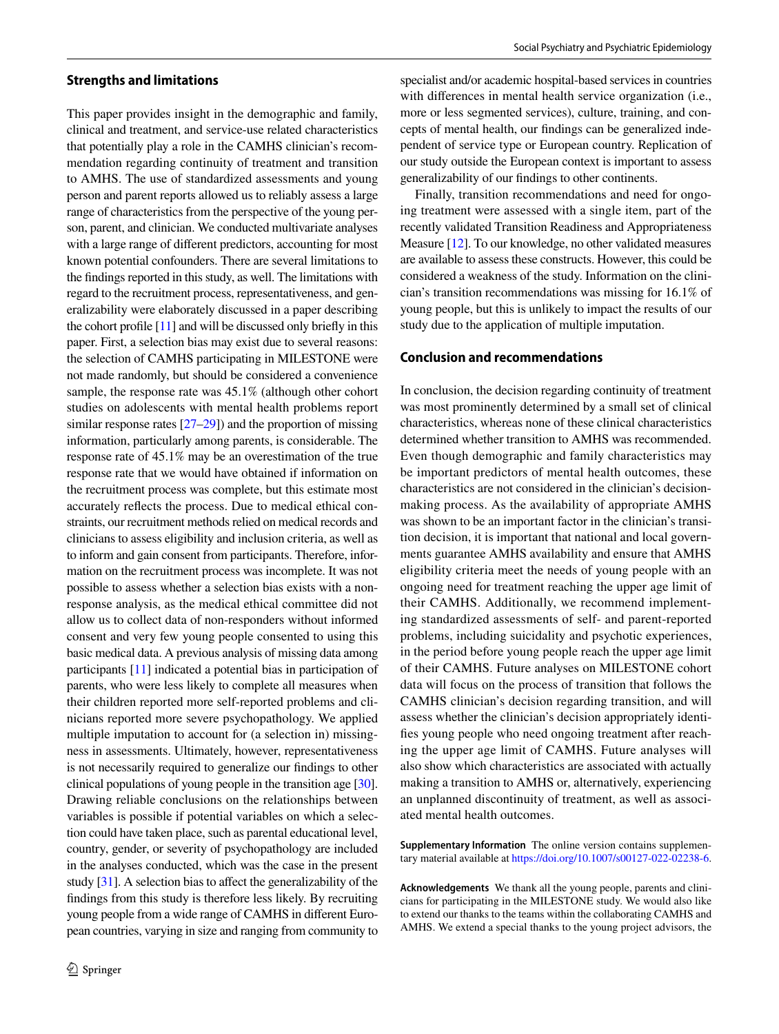#### **Strengths and limitations**

This paper provides insight in the demographic and family, clinical and treatment, and service-use related characteristics that potentially play a role in the CAMHS clinician's recommendation regarding continuity of treatment and transition to AMHS. The use of standardized assessments and young person and parent reports allowed us to reliably assess a large range of characteristics from the perspective of the young person, parent, and clinician. We conducted multivariate analyses with a large range of diferent predictors, accounting for most known potential confounders. There are several limitations to the fndings reported in this study, as well. The limitations with regard to the recruitment process, representativeness, and generalizability were elaborately discussed in a paper describing the cohort profile  $[11]$  $[11]$  and will be discussed only briefly in this paper. First, a selection bias may exist due to several reasons: the selection of CAMHS participating in MILESTONE were not made randomly, but should be considered a convenience sample, the response rate was 45.1% (although other cohort studies on adolescents with mental health problems report similar response rates [[27](#page-15-21)[–29](#page-16-9)]) and the proportion of missing information, particularly among parents, is considerable. The response rate of 45.1% may be an overestimation of the true response rate that we would have obtained if information on the recruitment process was complete, but this estimate most accurately refects the process. Due to medical ethical constraints, our recruitment methods relied on medical records and clinicians to assess eligibility and inclusion criteria, as well as to inform and gain consent from participants. Therefore, information on the recruitment process was incomplete. It was not possible to assess whether a selection bias exists with a nonresponse analysis, as the medical ethical committee did not allow us to collect data of non-responders without informed consent and very few young people consented to using this basic medical data. A previous analysis of missing data among participants [[11](#page-15-5)] indicated a potential bias in participation of parents, who were less likely to complete all measures when their children reported more self-reported problems and clinicians reported more severe psychopathology. We applied multiple imputation to account for (a selection in) missingness in assessments. Ultimately, however, representativeness is not necessarily required to generalize our fndings to other clinical populations of young people in the transition age [[30](#page-16-10)]. Drawing reliable conclusions on the relationships between variables is possible if potential variables on which a selection could have taken place, such as parental educational level, country, gender, or severity of psychopathology are included in the analyses conducted, which was the case in the present study [\[31\]](#page-16-11). A selection bias to afect the generalizability of the fndings from this study is therefore less likely. By recruiting young people from a wide range of CAMHS in diferent European countries, varying in size and ranging from community to specialist and/or academic hospital-based services in countries with differences in mental health service organization (i.e., more or less segmented services), culture, training, and concepts of mental health, our fndings can be generalized independent of service type or European country. Replication of our study outside the European context is important to assess generalizability of our fndings to other continents.

Finally, transition recommendations and need for ongoing treatment were assessed with a single item, part of the recently validated Transition Readiness and Appropriateness Measure [\[12\]](#page-15-6). To our knowledge, no other validated measures are available to assess these constructs. However, this could be considered a weakness of the study. Information on the clinician's transition recommendations was missing for 16.1% of young people, but this is unlikely to impact the results of our study due to the application of multiple imputation.

## **Conclusion and recommendations**

In conclusion, the decision regarding continuity of treatment was most prominently determined by a small set of clinical characteristics, whereas none of these clinical characteristics determined whether transition to AMHS was recommended. Even though demographic and family characteristics may be important predictors of mental health outcomes, these characteristics are not considered in the clinician's decisionmaking process. As the availability of appropriate AMHS was shown to be an important factor in the clinician's transition decision, it is important that national and local governments guarantee AMHS availability and ensure that AMHS eligibility criteria meet the needs of young people with an ongoing need for treatment reaching the upper age limit of their CAMHS. Additionally, we recommend implementing standardized assessments of self- and parent-reported problems, including suicidality and psychotic experiences, in the period before young people reach the upper age limit of their CAMHS. Future analyses on MILESTONE cohort data will focus on the process of transition that follows the CAMHS clinician's decision regarding transition, and will assess whether the clinician's decision appropriately identifes young people who need ongoing treatment after reaching the upper age limit of CAMHS. Future analyses will also show which characteristics are associated with actually making a transition to AMHS or, alternatively, experiencing an unplanned discontinuity of treatment, as well as associated mental health outcomes.

**Supplementary Information** The online version contains supplementary material available at<https://doi.org/10.1007/s00127-022-02238-6>.

**Acknowledgements** We thank all the young people, parents and clinicians for participating in the MILESTONE study. We would also like to extend our thanks to the teams within the collaborating CAMHS and AMHS. We extend a special thanks to the young project advisors, the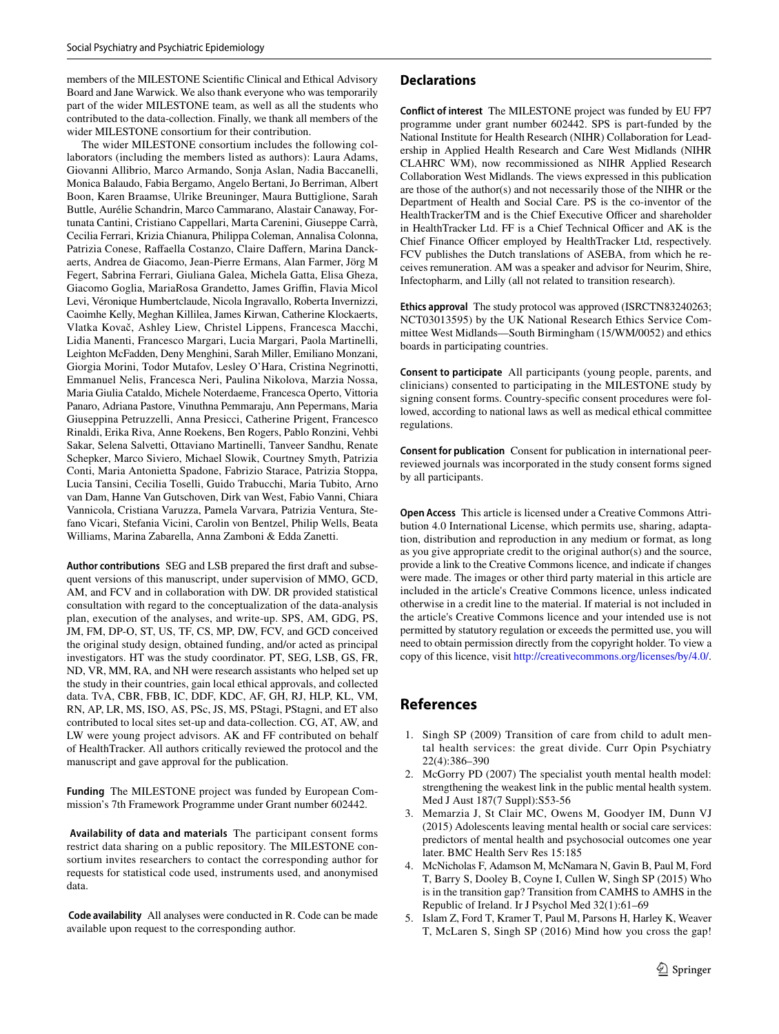members of the MILESTONE Scientifc Clinical and Ethical Advisory Board and Jane Warwick. We also thank everyone who was temporarily part of the wider MILESTONE team, as well as all the students who contributed to the data-collection. Finally, we thank all members of the wider MILESTONE consortium for their contribution.

The wider MILESTONE consortium includes the following collaborators (including the members listed as authors): Laura Adams, Giovanni Allibrio, Marco Armando, Sonja Aslan, Nadia Baccanelli, Monica Balaudo, Fabia Bergamo, Angelo Bertani, Jo Berriman, Albert Boon, Karen Braamse, Ulrike Breuninger, Maura Buttiglione, Sarah Buttle, Aurélie Schandrin, Marco Cammarano, Alastair Canaway, Fortunata Cantini, Cristiano Cappellari, Marta Carenini, Giuseppe Carrà, Cecilia Ferrari, Krizia Chianura, Philippa Coleman, Annalisa Colonna, Patrizia Conese, Raffaella Costanzo, Claire Daffern, Marina Danckaerts, Andrea de Giacomo, Jean-Pierre Ermans, Alan Farmer, Jörg M Fegert, Sabrina Ferrari, Giuliana Galea, Michela Gatta, Elisa Gheza, Giacomo Goglia, MariaRosa Grandetto, James Griffin, Flavia Micol Levi, Véronique Humbertclaude, Nicola Ingravallo, Roberta Invernizzi, Caoimhe Kelly, Meghan Killilea, James Kirwan, Catherine Klockaerts, Vlatka Kovač, Ashley Liew, Christel Lippens, Francesca Macchi, Lidia Manenti, Francesco Margari, Lucia Margari, Paola Martinelli, Leighton McFadden, Deny Menghini, Sarah Miller, Emiliano Monzani, Giorgia Morini, Todor Mutafov, Lesley O'Hara, Cristina Negrinotti, Emmanuel Nelis, Francesca Neri, Paulina Nikolova, Marzia Nossa, Maria Giulia Cataldo, Michele Noterdaeme, Francesca Operto, Vittoria Panaro, Adriana Pastore, Vinuthna Pemmaraju, Ann Pepermans, Maria Giuseppina Petruzzelli, Anna Presicci, Catherine Prigent, Francesco Rinaldi, Erika Riva, Anne Roekens, Ben Rogers, Pablo Ronzini, Vehbi Sakar, Selena Salvetti, Ottaviano Martinelli, Tanveer Sandhu, Renate Schepker, Marco Siviero, Michael Slowik, Courtney Smyth, Patrizia Conti, Maria Antonietta Spadone, Fabrizio Starace, Patrizia Stoppa, Lucia Tansini, Cecilia Toselli, Guido Trabucchi, Maria Tubito, Arno van Dam, Hanne Van Gutschoven, Dirk van West, Fabio Vanni, Chiara Vannicola, Cristiana Varuzza, Pamela Varvara, Patrizia Ventura, Stefano Vicari, Stefania Vicini, Carolin von Bentzel, Philip Wells, Beata Williams, Marina Zabarella, Anna Zamboni & Edda Zanetti.

**Author contributions** SEG and LSB prepared the frst draft and subsequent versions of this manuscript, under supervision of MMO, GCD, AM, and FCV and in collaboration with DW. DR provided statistical consultation with regard to the conceptualization of the data-analysis plan, execution of the analyses, and write-up. SPS, AM, GDG, PS, JM, FM, DP-O, ST, US, TF, CS, MP, DW, FCV, and GCD conceived the original study design, obtained funding, and/or acted as principal investigators. HT was the study coordinator. PT, SEG, LSB, GS, FR, ND, VR, MM, RA, and NH were research assistants who helped set up the study in their countries, gain local ethical approvals, and collected data. TvA, CBR, FBB, IC, DDF, KDC, AF, GH, RJ, HLP, KL, VM, RN, AP, LR, MS, ISO, AS, PSc, JS, MS, PStagi, PStagni, and ET also contributed to local sites set-up and data-collection. CG, AT, AW, and LW were young project advisors. AK and FF contributed on behalf of HealthTracker. All authors critically reviewed the protocol and the manuscript and gave approval for the publication.

**Funding** The MILESTONE project was funded by European Commission's 7th Framework Programme under Grant number 602442.

 **Availability of data and materials** The participant consent forms restrict data sharing on a public repository. The MILESTONE consortium invites researchers to contact the corresponding author for requests for statistical code used, instruments used, and anonymised data.

 **Code availability** All analyses were conducted in R. Code can be made available upon request to the corresponding author.

#### **Declarations**

**Conflict of interest** The MILESTONE project was funded by EU FP7 programme under grant number 602442. SPS is part-funded by the National Institute for Health Research (NIHR) Collaboration for Leadership in Applied Health Research and Care West Midlands (NIHR CLAHRC WM), now recommissioned as NIHR Applied Research Collaboration West Midlands. The views expressed in this publication are those of the author(s) and not necessarily those of the NIHR or the Department of Health and Social Care. PS is the co-inventor of the HealthTrackerTM and is the Chief Executive Officer and shareholder in HealthTracker Ltd. FF is a Chief Technical Officer and AK is the Chief Finance Officer employed by HealthTracker Ltd, respectively. FCV publishes the Dutch translations of ASEBA, from which he receives remuneration. AM was a speaker and advisor for Neurim, Shire, Infectopharm, and Lilly (all not related to transition research).

**Ethics approval** The study protocol was approved (ISRCTN83240263; NCT03013595) by the UK National Research Ethics Service Committee West Midlands—South Birmingham (15/WM/0052) and ethics boards in participating countries.

**Consent to participate** All participants (young people, parents, and clinicians) consented to participating in the MILESTONE study by signing consent forms. Country-specifc consent procedures were followed, according to national laws as well as medical ethical committee regulations.

**Consent for publication** Consent for publication in international peerreviewed journals was incorporated in the study consent forms signed by all participants.

**Open Access** This article is licensed under a Creative Commons Attribution 4.0 International License, which permits use, sharing, adaptation, distribution and reproduction in any medium or format, as long as you give appropriate credit to the original author(s) and the source, provide a link to the Creative Commons licence, and indicate if changes were made. The images or other third party material in this article are included in the article's Creative Commons licence, unless indicated otherwise in a credit line to the material. If material is not included in the article's Creative Commons licence and your intended use is not permitted by statutory regulation or exceeds the permitted use, you will need to obtain permission directly from the copyright holder. To view a copy of this licence, visit<http://creativecommons.org/licenses/by/4.0/>.

# **References**

- <span id="page-14-0"></span>1. Singh SP (2009) Transition of care from child to adult mental health services: the great divide. Curr Opin Psychiatry 22(4):386–390
- <span id="page-14-1"></span>2. McGorry PD (2007) The specialist youth mental health model: strengthening the weakest link in the public mental health system. Med J Aust 187(7 Suppl):S53-56
- <span id="page-14-2"></span>3. Memarzia J, St Clair MC, Owens M, Goodyer IM, Dunn VJ (2015) Adolescents leaving mental health or social care services: predictors of mental health and psychosocial outcomes one year later. BMC Health Serv Res 15:185
- <span id="page-14-4"></span>4. McNicholas F, Adamson M, McNamara N, Gavin B, Paul M, Ford T, Barry S, Dooley B, Coyne I, Cullen W, Singh SP (2015) Who is in the transition gap? Transition from CAMHS to AMHS in the Republic of Ireland. Ir J Psychol Med 32(1):61–69
- <span id="page-14-3"></span>5. Islam Z, Ford T, Kramer T, Paul M, Parsons H, Harley K, Weaver T, McLaren S, Singh SP (2016) Mind how you cross the gap!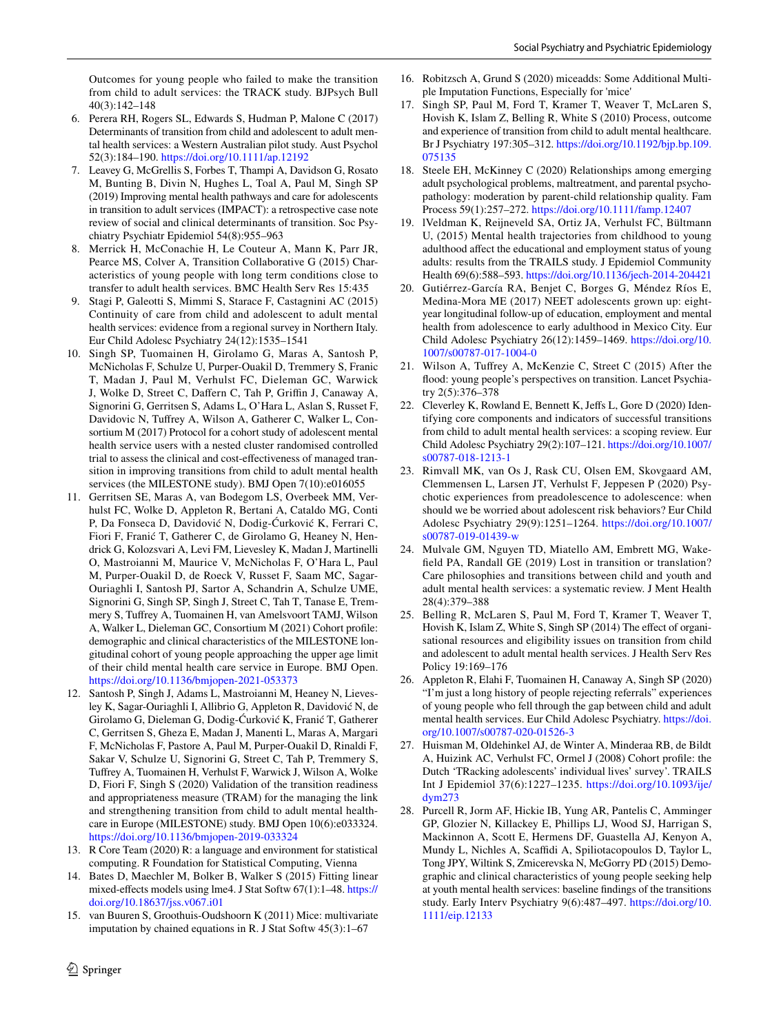Outcomes for young people who failed to make the transition from child to adult services: the TRACK study. BJPsych Bull 40(3):142–148

- <span id="page-15-0"></span>6. Perera RH, Rogers SL, Edwards S, Hudman P, Malone C (2017) Determinants of transition from child and adolescent to adult mental health services: a Western Australian pilot study. Aust Psychol 52(3):184–190.<https://doi.org/10.1111/ap.12192>
- <span id="page-15-1"></span>7. Leavey G, McGrellis S, Forbes T, Thampi A, Davidson G, Rosato M, Bunting B, Divin N, Hughes L, Toal A, Paul M, Singh SP (2019) Improving mental health pathways and care for adolescents in transition to adult services (IMPACT): a retrospective case note review of social and clinical determinants of transition. Soc Psychiatry Psychiatr Epidemiol 54(8):955–963
- <span id="page-15-2"></span>8. Merrick H, McConachie H, Le Couteur A, Mann K, Parr JR, Pearce MS, Colver A, Transition Collaborative G (2015) Characteristics of young people with long term conditions close to transfer to adult health services. BMC Health Serv Res 15:435
- <span id="page-15-3"></span>9. Stagi P, Galeotti S, Mimmi S, Starace F, Castagnini AC (2015) Continuity of care from child and adolescent to adult mental health services: evidence from a regional survey in Northern Italy. Eur Child Adolesc Psychiatry 24(12):1535–1541
- <span id="page-15-4"></span>10. Singh SP, Tuomainen H, Girolamo G, Maras A, Santosh P, McNicholas F, Schulze U, Purper-Ouakil D, Tremmery S, Franic T, Madan J, Paul M, Verhulst FC, Dieleman GC, Warwick J, Wolke D, Street C, Daffern C, Tah P, Griffin J, Canaway A, Signorini G, Gerritsen S, Adams L, O'Hara L, Aslan S, Russet F, Davidovic N, Tufrey A, Wilson A, Gatherer C, Walker L, Consortium M (2017) Protocol for a cohort study of adolescent mental health service users with a nested cluster randomised controlled trial to assess the clinical and cost-efectiveness of managed transition in improving transitions from child to adult mental health services (the MILESTONE study). BMJ Open 7(10):e016055
- <span id="page-15-5"></span>11. Gerritsen SE, Maras A, van Bodegom LS, Overbeek MM, Verhulst FC, Wolke D, Appleton R, Bertani A, Cataldo MG, Conti P, Da Fonseca D, Davidović N, Dodig-Ćurković K, Ferrari C, Fiori F, Franić T, Gatherer C, de Girolamo G, Heaney N, Hendrick G, Kolozsvari A, Levi FM, Lievesley K, Madan J, Martinelli O, Mastroianni M, Maurice V, McNicholas F, O'Hara L, Paul M, Purper-Ouakil D, de Roeck V, Russet F, Saam MC, Sagar-Ouriaghli I, Santosh PJ, Sartor A, Schandrin A, Schulze UME, Signorini G, Singh SP, Singh J, Street C, Tah T, Tanase E, Tremmery S, Tufrey A, Tuomainen H, van Amelsvoort TAMJ, Wilson A, Walker L, Dieleman GC, Consortium M (2021) Cohort profle: demographic and clinical characteristics of the MILESTONE longitudinal cohort of young people approaching the upper age limit of their child mental health care service in Europe. BMJ Open. <https://doi.org/10.1136/bmjopen-2021-053373>
- <span id="page-15-6"></span>12. Santosh P, Singh J, Adams L, Mastroianni M, Heaney N, Lievesley K, Sagar-Ouriaghli I, Allibrio G, Appleton R, Davidović N, de Girolamo G, Dieleman G, Dodig-Ćurković K, Franić T, Gatherer C, Gerritsen S, Gheza E, Madan J, Manenti L, Maras A, Margari F, McNicholas F, Pastore A, Paul M, Purper-Ouakil D, Rinaldi F, Sakar V, Schulze U, Signorini G, Street C, Tah P, Tremmery S, Tufrey A, Tuomainen H, Verhulst F, Warwick J, Wilson A, Wolke D, Fiori F, Singh S (2020) Validation of the transition readiness and appropriateness measure (TRAM) for the managing the link and strengthening transition from child to adult mental healthcare in Europe (MILESTONE) study. BMJ Open 10(6):e033324. <https://doi.org/10.1136/bmjopen-2019-033324>
- <span id="page-15-7"></span>13. R Core Team (2020) R: a language and environment for statistical computing. R Foundation for Statistical Computing, Vienna
- <span id="page-15-8"></span>14. Bates D, Maechler M, Bolker B, Walker S (2015) Fitting linear mixed-efects models using lme4. J Stat Softw 67(1):1–48. [https://](https://doi.org/10.18637/jss.v067.i01) [doi.org/10.18637/jss.v067.i01](https://doi.org/10.18637/jss.v067.i01)
- <span id="page-15-9"></span>15. van Buuren S, Groothuis-Oudshoorn K (2011) Mice: multivariate imputation by chained equations in R. J Stat Softw 45(3):1–67
- <span id="page-15-10"></span>16. Robitzsch A, Grund S (2020) miceadds: Some Additional Multiple Imputation Functions, Especially for 'mice'
- <span id="page-15-11"></span>17. Singh SP, Paul M, Ford T, Kramer T, Weaver T, McLaren S, Hovish K, Islam Z, Belling R, White S (2010) Process, outcome and experience of transition from child to adult mental healthcare. Br J Psychiatry 197:305–312. [https://doi.org/10.1192/bjp.bp.109.](https://doi.org/10.1192/bjp.bp.109.075135) [075135](https://doi.org/10.1192/bjp.bp.109.075135)
- <span id="page-15-12"></span>18. Steele EH, McKinney C (2020) Relationships among emerging adult psychological problems, maltreatment, and parental psychopathology: moderation by parent-child relationship quality. Fam Process 59(1):257–272. <https://doi.org/10.1111/famp.12407>
- <span id="page-15-13"></span>19. lVeldman K, Reijneveld SA, Ortiz JA, Verhulst FC, Bültmann U, (2015) Mental health trajectories from childhood to young adulthood afect the educational and employment status of young adults: results from the TRAILS study. J Epidemiol Community Health 69(6):588–593.<https://doi.org/10.1136/jech-2014-204421>
- <span id="page-15-14"></span>20. Gutiérrez-García RA, Benjet C, Borges G, Méndez Ríos E, Medina-Mora ME (2017) NEET adolescents grown up: eightyear longitudinal follow-up of education, employment and mental health from adolescence to early adulthood in Mexico City. Eur Child Adolesc Psychiatry 26(12):1459–1469. [https://doi.org/10.](https://doi.org/10.1007/s00787-017-1004-0) [1007/s00787-017-1004-0](https://doi.org/10.1007/s00787-017-1004-0)
- <span id="page-15-15"></span>21. Wilson A, Tufrey A, McKenzie C, Street C (2015) After the food: young people's perspectives on transition. Lancet Psychiatry 2(5):376–378
- <span id="page-15-16"></span>22. Cleverley K, Rowland E, Bennett K, Jeffs L, Gore D (2020) Identifying core components and indicators of successful transitions from child to adult mental health services: a scoping review. Eur Child Adolesc Psychiatry 29(2):107–121. [https://doi.org/10.1007/](https://doi.org/10.1007/s00787-018-1213-1) [s00787-018-1213-1](https://doi.org/10.1007/s00787-018-1213-1)
- <span id="page-15-17"></span>23. Rimvall MK, van Os J, Rask CU, Olsen EM, Skovgaard AM, Clemmensen L, Larsen JT, Verhulst F, Jeppesen P (2020) Psychotic experiences from preadolescence to adolescence: when should we be worried about adolescent risk behaviors? Eur Child Adolesc Psychiatry 29(9):1251–1264. [https://doi.org/10.1007/](https://doi.org/10.1007/s00787-019-01439-w) [s00787-019-01439-w](https://doi.org/10.1007/s00787-019-01439-w)
- <span id="page-15-18"></span>24. Mulvale GM, Nguyen TD, Miatello AM, Embrett MG, Wakefeld PA, Randall GE (2019) Lost in transition or translation? Care philosophies and transitions between child and youth and adult mental health services: a systematic review. J Ment Health 28(4):379–388
- <span id="page-15-19"></span>25. Belling R, McLaren S, Paul M, Ford T, Kramer T, Weaver T, Hovish K, Islam Z, White S, Singh SP (2014) The efect of organisational resources and eligibility issues on transition from child and adolescent to adult mental health services. J Health Serv Res Policy 19:169–176
- <span id="page-15-20"></span>26. Appleton R, Elahi F, Tuomainen H, Canaway A, Singh SP (2020) "I'm just a long history of people rejecting referrals" experiences of young people who fell through the gap between child and adult mental health services. Eur Child Adolesc Psychiatry. [https://doi.](https://doi.org/10.1007/s00787-020-01526-3) [org/10.1007/s00787-020-01526-3](https://doi.org/10.1007/s00787-020-01526-3)
- <span id="page-15-21"></span>27. Huisman M, Oldehinkel AJ, de Winter A, Minderaa RB, de Bildt A, Huizink AC, Verhulst FC, Ormel J (2008) Cohort profle: the Dutch 'TRacking adolescents' individual lives' survey'. TRAILS Int J Epidemiol 37(6):1227–1235. [https://doi.org/10.1093/ije/](https://doi.org/10.1093/ije/dym273) [dym273](https://doi.org/10.1093/ije/dym273)
- 28. Purcell R, Jorm AF, Hickie IB, Yung AR, Pantelis C, Amminger GP, Glozier N, Killackey E, Phillips LJ, Wood SJ, Harrigan S, Mackinnon A, Scott E, Hermens DF, Guastella AJ, Kenyon A, Mundy L, Nichles A, Scaffidi A, Spiliotacopoulos D, Taylor L, Tong JPY, Wiltink S, Zmicerevska N, McGorry PD (2015) Demographic and clinical characteristics of young people seeking help at youth mental health services: baseline fndings of the transitions study. Early Interv Psychiatry 9(6):487–497. [https://doi.org/10.](https://doi.org/10.1111/eip.12133) [1111/eip.12133](https://doi.org/10.1111/eip.12133)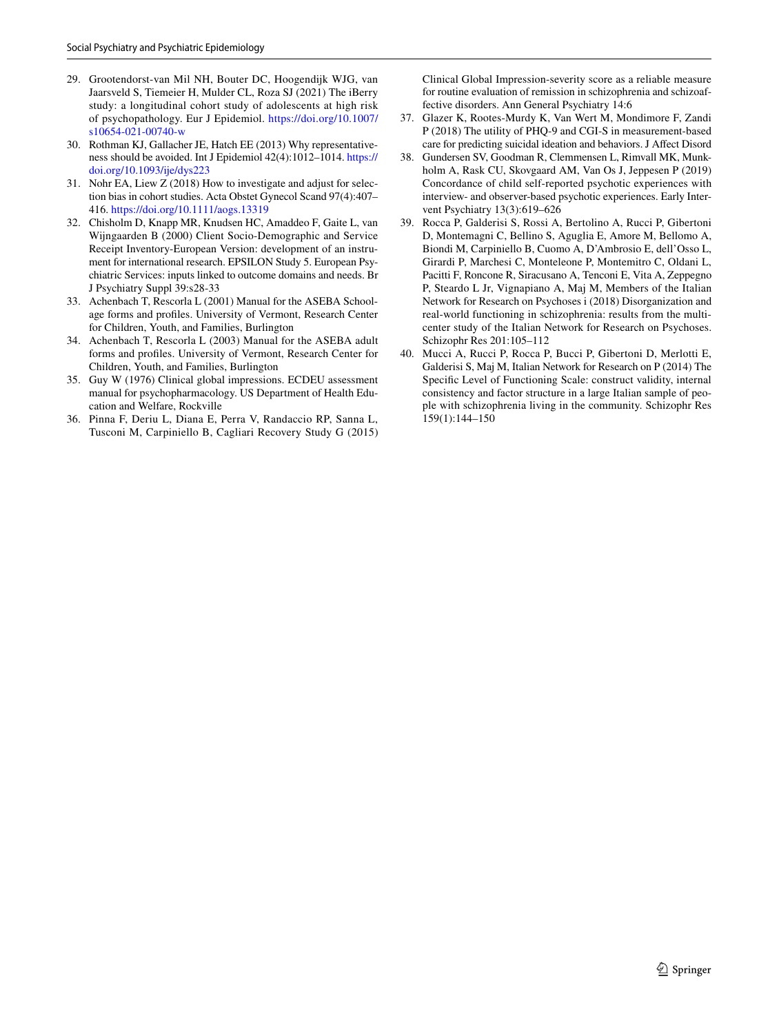- <span id="page-16-9"></span>29. Grootendorst-van Mil NH, Bouter DC, Hoogendijk WJG, van Jaarsveld S, Tiemeier H, Mulder CL, Roza SJ (2021) The iBerry study: a longitudinal cohort study of adolescents at high risk of psychopathology. Eur J Epidemiol. [https://doi.org/10.1007/](https://doi.org/10.1007/s10654-021-00740-w) [s10654-021-00740-w](https://doi.org/10.1007/s10654-021-00740-w)
- <span id="page-16-10"></span>30. Rothman KJ, Gallacher JE, Hatch EE (2013) Why representativeness should be avoided. Int J Epidemiol 42(4):1012–1014. [https://](https://doi.org/10.1093/ije/dys223) [doi.org/10.1093/ije/dys223](https://doi.org/10.1093/ije/dys223)
- <span id="page-16-11"></span>31. Nohr EA, Liew Z (2018) How to investigate and adjust for selection bias in cohort studies. Acta Obstet Gynecol Scand 97(4):407– 416.<https://doi.org/10.1111/aogs.13319>
- <span id="page-16-0"></span>32. Chisholm D, Knapp MR, Knudsen HC, Amaddeo F, Gaite L, van Wijngaarden B (2000) Client Socio-Demographic and Service Receipt Inventory-European Version: development of an instrument for international research. EPSILON Study 5. European Psychiatric Services: inputs linked to outcome domains and needs. Br J Psychiatry Suppl 39:s28-33
- <span id="page-16-1"></span>33. Achenbach T, Rescorla L (2001) Manual for the ASEBA Schoolage forms and profles. University of Vermont, Research Center for Children, Youth, and Families, Burlington
- <span id="page-16-2"></span>34. Achenbach T, Rescorla L (2003) Manual for the ASEBA adult forms and profles. University of Vermont, Research Center for Children, Youth, and Families, Burlington
- <span id="page-16-3"></span>35. Guy W (1976) Clinical global impressions. ECDEU assessment manual for psychopharmacology. US Department of Health Education and Welfare, Rockville
- <span id="page-16-4"></span>36. Pinna F, Deriu L, Diana E, Perra V, Randaccio RP, Sanna L, Tusconi M, Carpiniello B, Cagliari Recovery Study G (2015)

Clinical Global Impression-severity score as a reliable measure for routine evaluation of remission in schizophrenia and schizoaffective disorders. Ann General Psychiatry 14:6

- <span id="page-16-5"></span>37. Glazer K, Rootes-Murdy K, Van Wert M, Mondimore F, Zandi P (2018) The utility of PHQ-9 and CGI-S in measurement-based care for predicting suicidal ideation and behaviors. J Afect Disord
- <span id="page-16-6"></span>38. Gundersen SV, Goodman R, Clemmensen L, Rimvall MK, Munkholm A, Rask CU, Skovgaard AM, Van Os J, Jeppesen P (2019) Concordance of child self-reported psychotic experiences with interview- and observer-based psychotic experiences. Early Intervent Psychiatry 13(3):619–626
- <span id="page-16-7"></span>39. Rocca P, Galderisi S, Rossi A, Bertolino A, Rucci P, Gibertoni D, Montemagni C, Bellino S, Aguglia E, Amore M, Bellomo A, Biondi M, Carpiniello B, Cuomo A, D'Ambrosio E, dell'Osso L, Girardi P, Marchesi C, Monteleone P, Montemitro C, Oldani L, Pacitti F, Roncone R, Siracusano A, Tenconi E, Vita A, Zeppegno P, Steardo L Jr, Vignapiano A, Maj M, Members of the Italian Network for Research on Psychoses i (2018) Disorganization and real-world functioning in schizophrenia: results from the multicenter study of the Italian Network for Research on Psychoses. Schizophr Res 201:105–112
- <span id="page-16-8"></span>40. Mucci A, Rucci P, Rocca P, Bucci P, Gibertoni D, Merlotti E, Galderisi S, Maj M, Italian Network for Research on P (2014) The Specifc Level of Functioning Scale: construct validity, internal consistency and factor structure in a large Italian sample of people with schizophrenia living in the community. Schizophr Res 159(1):144–150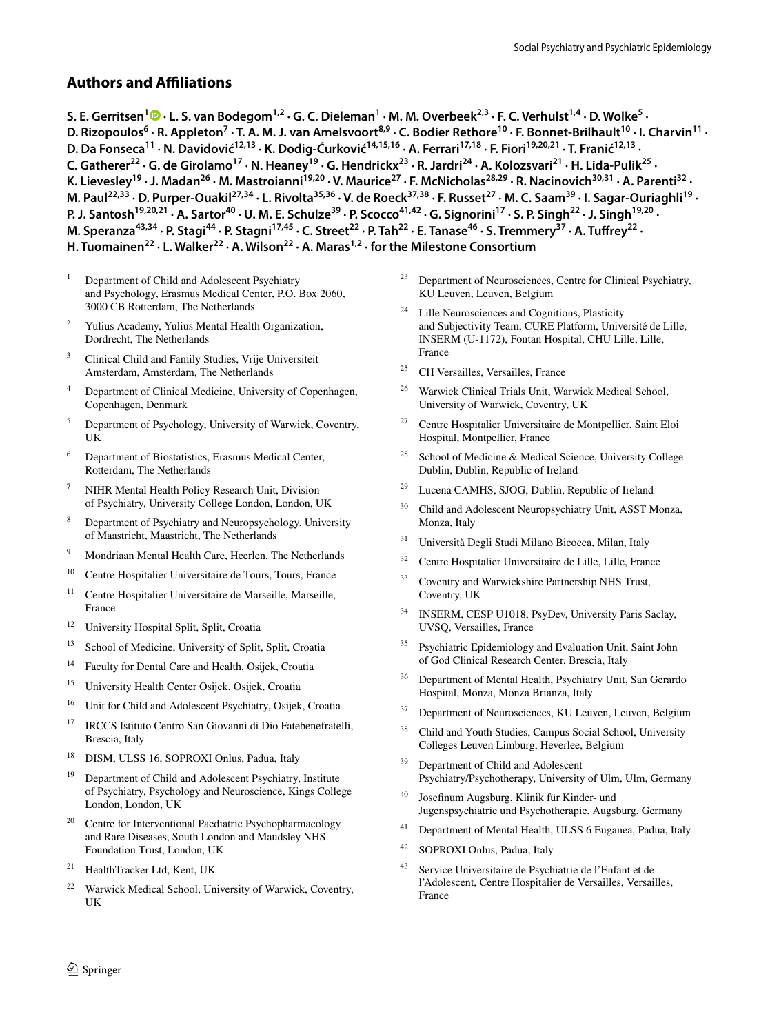# **Authors and Afliations**

S. E. Gerritsen<sup>1</sup> D [·](http://orcid.org/0000-0001-8057-7501) L. S. van Bodegom<sup>1,2</sup> · G. C. Dieleman<sup>1</sup> · M. M. Overbeek<sup>2,3</sup> · F. C. Verhulst<sup>1,4</sup> · D. Wolke<sup>5</sup> · D. Rizopoulos<sup>6</sup> · R. Appleton<sup>7</sup> · T. A. M. J. van Amelsvoort<sup>8,9</sup> · C. Bodier Rethore<sup>10</sup> · F. Bonnet-Brilhault<sup>10</sup> · I. Charvin<sup>11</sup> · **D. Da Fonseca<sup>11</sup> · N. Davidović<sup>12,13</sup> · K. Dodig-Ćurković<sup>14,15,16</sup> · A. Ferrari<sup>17,18</sup> · F. Fiori<sup>19,20,21</sup> · T. Franić<sup>12,13</sup> ·** C. Gatherer<sup>22</sup> · G. de Girolamo<sup>17</sup> · N. Heaney<sup>19</sup> · G. Hendrickx<sup>23</sup> · R. Jardri<sup>24</sup> · A. Kolozsvari<sup>21</sup> · H. Lida-Pulik<sup>25</sup> · K. Lievesley<sup>19</sup> · J. Madan<sup>26</sup> · M. Mastroianni<sup>19,20</sup> · V. Maurice<sup>27</sup> · F. McNicholas<sup>28,29</sup> · R. Nacinovich<sup>30,31</sup> · A. Parenti<sup>32</sup> · M. Paul<sup>22,33</sup> · D. Purper-Ouakil<sup>27,34</sup> · L. Rivolta<sup>35,36</sup> · V. de Roeck<sup>37,38</sup> · F. Russet<sup>27</sup> · M. C. Saam<sup>39</sup> · I. Sagar-Ouriaghli<sup>19</sup> · P. J. Santosh<sup>19,20,21</sup> · A. Sartor<sup>40</sup> · U. M. E. Schulze<sup>39</sup> · P. Scocco<sup>41,42</sup> · G. Signorini<sup>17</sup> · S. P. Singh<sup>22</sup> · J. Singh<sup>19,20</sup> · M. Speranza<sup>43,34</sup> · P. Stagi<sup>44</sup> · P. Stagni<sup>17,45</sup> · C. Street<sup>22</sup> · P. Tah<sup>22</sup> · E. Tanase<sup>46</sup> · S. Tremmery<sup>37</sup> · A. Tuffrey<sup>22</sup> · H. Tuomainen<sup>22</sup> · L. Walker<sup>22</sup> · A. Wilson<sup>22</sup> · A. Maras<sup>1,2</sup> · for the Milestone Consortium

- <sup>1</sup> Department of Child and Adolescent Psychiatry and Psychology, Erasmus Medical Center, P.O. Box 2060, 3000 CB Rotterdam, The Netherlands
- Yulius Academy, Yulius Mental Health Organization, Dordrecht, The Netherlands
- <sup>3</sup> Clinical Child and Family Studies, Vrije Universiteit Amsterdam, Amsterdam, The Netherlands
- <sup>4</sup> Department of Clinical Medicine, University of Copenhagen, Copenhagen, Denmark
- <sup>5</sup> Department of Psychology, University of Warwick, Coventry, UK
- <sup>6</sup> Department of Biostatistics, Erasmus Medical Center, Rotterdam, The Netherlands
- <sup>7</sup> NIHR Mental Health Policy Research Unit, Division of Psychiatry, University College London, London, UK
- <sup>8</sup> Department of Psychiatry and Neuropsychology, University of Maastricht, Maastricht, The Netherlands
- <sup>9</sup> Mondriaan Mental Health Care, Heerlen, The Netherlands
- <sup>10</sup> Centre Hospitalier Universitaire de Tours, Tours, France
- <sup>11</sup> Centre Hospitalier Universitaire de Marseille, Marseille, France
- <sup>12</sup> University Hospital Split, Split, Croatia
- <sup>13</sup> School of Medicine, University of Split, Split, Croatia
- <sup>14</sup> Faculty for Dental Care and Health, Osijek, Croatia
- <sup>15</sup> University Health Center Osijek, Osijek, Croatia
- <sup>16</sup> Unit for Child and Adolescent Psychiatry, Osijek, Croatia
- <sup>17</sup> IRCCS Istituto Centro San Giovanni di Dio Fatebenefratelli, Brescia, Italy
- <sup>18</sup> DISM, ULSS 16, SOPROXI Onlus, Padua, Italy
- <sup>19</sup> Department of Child and Adolescent Psychiatry, Institute of Psychiatry, Psychology and Neuroscience, Kings College London, London, UK
- <sup>20</sup> Centre for Interventional Paediatric Psychopharmacology and Rare Diseases, South London and Maudsley NHS Foundation Trust, London, UK
- <sup>21</sup> HealthTracker Ltd, Kent, UK
- <sup>22</sup> Warwick Medical School, University of Warwick, Coventry, UK
- <sup>23</sup> Department of Neurosciences, Centre for Clinical Psychiatry, KU Leuven, Leuven, Belgium
- <sup>24</sup> Lille Neurosciences and Cognitions, Plasticity and Subjectivity Team, CURE Platform, Université de Lille, INSERM (U-1172), Fontan Hospital, CHU Lille, Lille, France
- <sup>25</sup> CH Versailles, Versailles, France
- <sup>26</sup> Warwick Clinical Trials Unit, Warwick Medical School, University of Warwick, Coventry, UK
- <sup>27</sup> Centre Hospitalier Universitaire de Montpellier, Saint Eloi Hospital, Montpellier, France
- School of Medicine & Medical Science, University College Dublin, Dublin, Republic of Ireland
- <sup>29</sup> Lucena CAMHS, SJOG, Dublin, Republic of Ireland
- <sup>30</sup> Child and Adolescent Neuropsychiatry Unit, ASST Monza, Monza, Italy
- <sup>31</sup> Università Degli Studi Milano Bicocca, Milan, Italy
- <sup>32</sup> Centre Hospitalier Universitaire de Lille, Lille, France
- <sup>33</sup> Coventry and Warwickshire Partnership NHS Trust, Coventry, UK
- <sup>34</sup> INSERM, CESP U1018, PsyDev, University Paris Saclay, UVSQ, Versailles, France
- <sup>35</sup> Psychiatric Epidemiology and Evaluation Unit, Saint John of God Clinical Research Center, Brescia, Italy
- <sup>36</sup> Department of Mental Health, Psychiatry Unit, San Gerardo Hospital, Monza, Monza Brianza, Italy
- Department of Neurosciences, KU Leuven, Leuven, Belgium
- <sup>38</sup> Child and Youth Studies, Campus Social School, University Colleges Leuven Limburg, Heverlee, Belgium
- <sup>39</sup> Department of Child and Adolescent Psychiatry/Psychotherapy, University of Ulm, Ulm, Germany
- <sup>40</sup> Josefnum Augsburg, Klinik für Kinder- und Jugenspsychiatrie und Psychotherapie, Augsburg, Germany
- <sup>41</sup> Department of Mental Health, ULSS 6 Euganea, Padua, Italy
- <sup>42</sup> SOPROXI Onlus, Padua, Italy
- <sup>43</sup> Service Universitaire de Psychiatrie de l'Enfant et de l'Adolescent, Centre Hospitalier de Versailles, Versailles, France